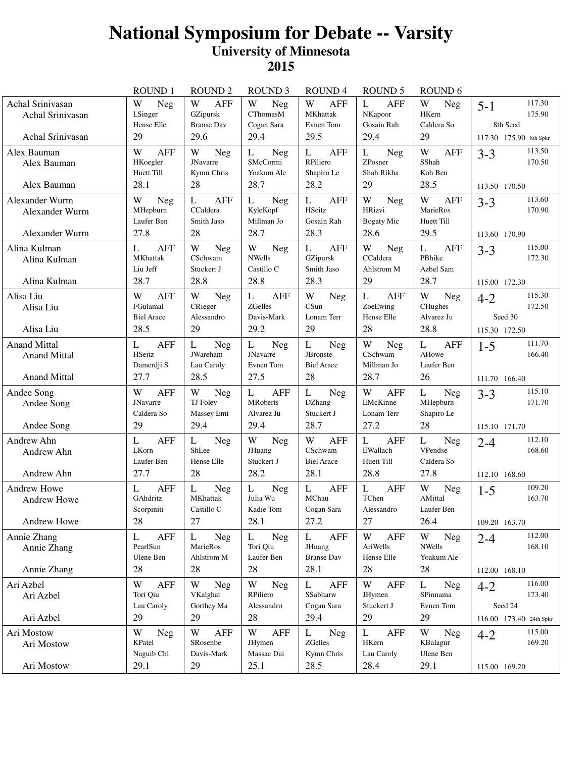|                                                                   | <b>ROUND1</b>                                            | <b>ROUND2</b>                                                    | <b>ROUND 3</b>                                           | ROUND <sub>4</sub>                                                | <b>ROUND 5</b>                                               | ROUND <sub>6</sub>                                       |                                                                   |
|-------------------------------------------------------------------|----------------------------------------------------------|------------------------------------------------------------------|----------------------------------------------------------|-------------------------------------------------------------------|--------------------------------------------------------------|----------------------------------------------------------|-------------------------------------------------------------------|
| Achal Srinivasan<br>Achal Srinivasan                              | W<br>Neg<br>LSinger<br>Hense Elle                        | W<br><b>AFF</b><br>GZipursk<br><b>Branse Dav</b>                 | W<br>Neg<br><b>CThomasM</b><br>Cogan Sara                | W<br><b>AFF</b><br><b>MKhattak</b><br>Evnen Tom                   | L<br><b>AFF</b><br>NKapoor<br>Gosain Rah                     | W<br><b>Neg</b><br>HKern<br>Caldera So                   | 117.30<br>$5 - 1$<br>175.90<br>8th Seed                           |
| Achal Srinivasan                                                  | 29                                                       | 29.6                                                             | 29.4                                                     | 29.5                                                              | 29.4                                                         | 29                                                       | 117.30 175.90 8th Spkr                                            |
| Alex Bauman<br>Alex Bauman<br>Alex Bauman                         | W<br><b>AFF</b><br>HKoegler<br>Huett Till<br>28.1        | W<br>Neg<br><b>JNavarre</b><br>Kymn Chris<br>28                  | <b>Neg</b><br>L<br>SMcCormi<br>Yoakum Ale<br>28.7        | $\mathbf{L}$<br><b>AFF</b><br>RPiliero<br>Shapiro Le<br>28.2      | L<br>Neg<br>ZPosner<br>Shah Rikha<br>29                      | W<br><b>AFF</b><br>SShah<br>Koh Ben<br>28.5              | 113.50<br>$3 - 3$<br>170.50<br>113.50 170.50                      |
| Alexander Wurm<br>Alexander Wurm<br>Alexander Wurm                | W<br>Neg<br>MHepburn<br>Laufer Ben<br>27.8               | L<br>AFF<br>CCaldera<br>Smith Jaso<br>28                         | L<br>Neg<br>KyleKopf<br>Millman Jo<br>28.7               | $\mathbf{L}$<br><b>AFF</b><br>HSeitz<br>Gosain Rah<br>28.3        | W<br>Neg<br><b>HRizvi</b><br><b>Bogaty Mic</b><br>28.6       | W<br><b>AFF</b><br>MarieRos<br>Huett Till<br>29.5        | 113.60<br>$3 - 3$<br>170.90<br>113.60 170.90                      |
| Alina Kulman<br>Alina Kulman<br>Alina Kulman                      | <b>AFF</b><br>L<br><b>MKhattak</b><br>Liu Jeff<br>28.7   | W<br><b>Neg</b><br>CSchwam<br>Stuckert J<br>28.8                 | W<br>Neg<br><b>NWells</b><br>Castillo C<br>28.8          | <b>AFF</b><br>L<br>GZipursk<br>Smith Jaso<br>28.3                 | W<br>Neg<br>CCaldera<br>Ahlstrom M<br>29                     | L<br><b>AFF</b><br>PBhike<br>Azbel Sam<br>28.7           | 115.00<br>$3 - 3$<br>172.30<br>115.00 172.30                      |
| Alisa Liu<br>Alisa Liu<br>Alisa Liu                               | W<br><b>AFF</b><br>FGulamal<br><b>Biel Arace</b><br>28.5 | W<br>Neg<br>CRieger<br>Alessandro<br>29                          | L<br><b>AFF</b><br><b>ZGelles</b><br>Davis-Mark<br>29.2  | W<br>Neg<br>CSun<br>Lonam Terr<br>29                              | L<br><b>AFF</b><br>ZoeEwing<br>Hense Elle<br>28              | W<br><b>Neg</b><br>CHughes<br>Alvarez Ju<br>28.8         | 115.30<br>$4 - 2$<br>172.50<br>Seed 30<br>115.30 172.50           |
| <b>Anand Mittal</b><br><b>Anand Mittal</b><br><b>Anand Mittal</b> | <b>AFF</b><br>L<br>HSeitz<br>Damerdji S<br>27.7          | $\mathbf L$<br><b>Neg</b><br>JWareham<br>Lau Caroly<br>28.5      | L<br><b>Neg</b><br><b>JNavarre</b><br>Evnen Tom<br>27.5  | $\mathbf{L}$<br><b>Neg</b><br>JBronste<br><b>Biel Arace</b><br>28 | W<br>Neg<br>CSchwam<br>Millman Jo<br>28.7                    | $\mathbf{L}$<br><b>AFF</b><br>AHowe<br>Laufer Ben<br>26  | 111.70<br>$1 - 5$<br>166.40<br>111.70 166.40                      |
| Andee Song<br>Andee Song<br>Andee Song                            | W<br><b>AFF</b><br><b>JNavarre</b><br>Caldera So<br>29   | W<br>Neg<br>TJ Foley<br>Massey Emi<br>29.4                       | <b>AFF</b><br>L<br><b>MRoberts</b><br>Alvarez Ju<br>29.4 | L<br>Neg<br>DZhang<br>Stuckert J<br>28.7                          | W<br><b>AFF</b><br>EMcKinne<br>Lonam Terr<br>27.2            | L<br>Neg<br>MHepburn<br>Shapiro Le<br>28                 | 115.10<br>$3 - 3$<br>171.70<br>115.10 171.70                      |
| Andrew Ahn<br>Andrew Ahn<br>Andrew Ahn                            | <b>AFF</b><br>L<br>LKorn<br>Laufer Ben<br>27.7           | L<br><b>Neg</b><br>ShLee<br>Hense Elle<br>28                     | W<br><b>Neg</b><br>JHuang<br>Stuckert J<br>28.2          | W<br><b>AFF</b><br>CSchwam<br><b>Biel Arace</b><br>28.1           | $\mathbf{L}$<br><b>AFF</b><br>EWallach<br>Huett Till<br>28.8 | L<br><b>Neg</b><br>VPendse<br>Caldera So<br>27.8         | 112.10<br>$2 - 4$<br>168.60<br>112.10 168.60                      |
| Andrew Howe<br><b>Andrew Howe</b><br>Andrew Howe                  | <b>AFF</b><br>L<br>GAhdritz<br>Scorpiniti<br>28          | $\mathbf L$<br><b>Neg</b><br><b>MKhattak</b><br>Castillo C<br>27 | L<br><b>Neg</b><br>Julia Wu<br>Kadie Tom<br>28.1         | L<br><b>AFF</b><br>MChau<br>Cogan Sara<br>27.2                    | $\mathbf{L}$<br><b>AFF</b><br>TChen<br>Alessandro<br>27      | W<br><b>Neg</b><br>AMittal<br>Laufer Ben<br>26.4         | 109.20<br>$1-5$<br>163.70<br>109.20 163.70                        |
| Annie Zhang<br>Annie Zhang<br>Annie Zhang                         | <b>AFF</b><br>L<br>PearlSun<br>Ulene Ben<br>28           | L<br>Neg<br>MarieRos<br>Ahlstrom M<br>28                         | L<br><b>Neg</b><br>Tori Qiu<br>Laufer Ben<br>28          | <b>AFF</b><br>L<br>JHuang<br><b>Branse Dav</b><br>28.1            | W<br><b>AFF</b><br>AriWells<br>Hense Elle<br>28              | W<br>Neg<br><b>NWells</b><br>Yoakum Ale<br>28            | 112.00<br>$2 - 4$<br>168.10<br>112.00 168.10                      |
| Ari Azbel<br>Ari Azbel<br>Ari Azbel                               | W<br><b>AFF</b><br>Tori Qiu<br>Lau Caroly<br>29          | W<br><b>Neg</b><br>VKalghat<br>Gorthey Ma<br>29                  | W<br>Neg<br>RPiliero<br>Alessandro<br>28                 | $\mathbf{L}$<br><b>AFF</b><br>SSabharw<br>Cogan Sara<br>29.4      | W<br><b>AFF</b><br>JHymen<br>Stuckert J<br>29                | $\mathbf L$<br><b>Neg</b><br>SPinnama<br>Evnen Tom<br>29 | 116.00<br>$4 - 2$<br>173.40<br>Seed 24<br>116.00 173.40 24th Spkr |
| Ari Mostow<br>Ari Mostow<br>Ari Mostow                            | W<br><b>Neg</b><br>KPatel<br>Naguib Chl<br>29.1          | W<br><b>AFF</b><br>SRosenbe<br>Davis-Mark<br>29                  | W<br>AFF<br>JHymen<br>Massac Dai<br>25.1                 | L<br>Neg<br>ZGelles<br>Kymn Chris<br>28.5                         | L<br>AFF<br>HKern<br>Lau Caroly<br>28.4                      | W<br>Neg<br>KBalagur<br>Ulene Ben<br>29.1                | 115.00<br>$4 - 2$<br>169.20<br>115.00 169.20                      |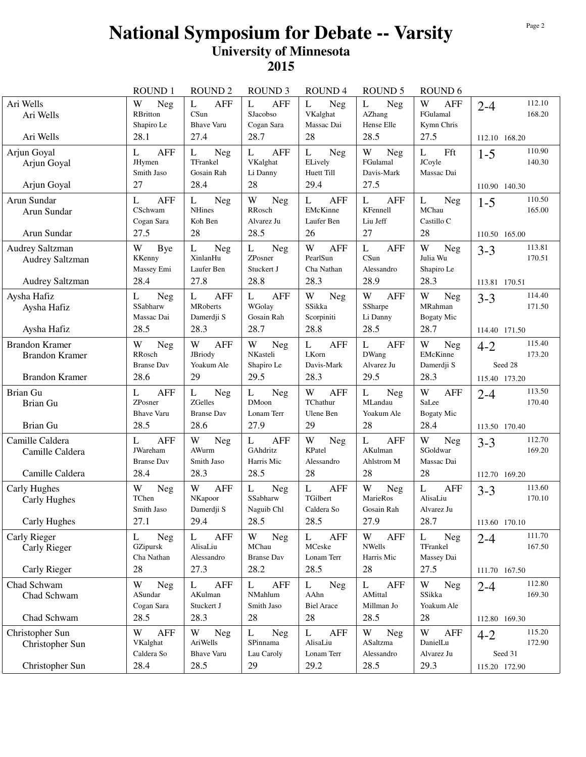|                                                                         | <b>ROUND1</b>                                            | <b>ROUND 2</b>                                           | <b>ROUND 3</b>                                               | <b>ROUND4</b>                                               | <b>ROUND 5</b>                                       | ROUND <sub>6</sub>                                          |                                                         |
|-------------------------------------------------------------------------|----------------------------------------------------------|----------------------------------------------------------|--------------------------------------------------------------|-------------------------------------------------------------|------------------------------------------------------|-------------------------------------------------------------|---------------------------------------------------------|
| Ari Wells<br>Ari Wells<br>Ari Wells                                     | W<br><b>Neg</b><br>RBritton<br>Shapiro Le<br>28.1        | L<br><b>AFF</b><br>CSun<br><b>Bhave Varu</b><br>27.4     | $\mathbf{L}$<br><b>AFF</b><br>SJacobso<br>Cogan Sara<br>28.7 | L<br>Neg<br>VKalghat<br>Massac Dai<br>28                    | L<br>Neg<br>AZhang<br>Hense Elle<br>28.5             | W<br><b>AFF</b><br>FGulamal<br>Kymn Chris<br>27.5           | 112.10<br>$2 - 4$<br>168.20<br>112.10 168.20            |
| Arjun Goyal<br>Arjun Goyal<br>Arjun Goyal                               | <b>AFF</b><br>L<br><b>JHymen</b><br>Smith Jaso<br>27     | <b>Neg</b><br>L<br>TFrankel<br>Gosain Rah<br>28.4        | <b>AFF</b><br>L<br>VKalghat<br>Li Danny<br>28                | L<br><b>Neg</b><br>ELively<br>Huett Till<br>29.4            | W<br>Neg<br>FGulamal<br>Davis-Mark<br>27.5           | L<br>Fft<br>JCoyle<br>Massac Dai                            | 110.90<br>$1 - 5$<br>140.30<br>110.90 140.30            |
| Arun Sundar<br>Arun Sundar<br>Arun Sundar                               | <b>AFF</b><br>L<br>CSchwam<br>Cogan Sara<br>27.5         | L<br><b>Neg</b><br><b>NHines</b><br>Koh Ben<br>28        | W<br>Neg<br>RRosch<br>Alvarez Ju<br>28.5                     | $\mathbf L$<br><b>AFF</b><br>EMcKinne<br>Laufer Ben<br>26   | L<br><b>AFF</b><br>KFennell<br>Liu Jeff<br>27        | $\mathbf L$<br>Neg<br>MChau<br>Castillo C<br>28             | 110.50<br>$1 - 5$<br>165.00<br>110.50 165.00            |
| Audrey Saltzman<br><b>Audrey Saltzman</b><br>Audrey Saltzman            | W<br>Bye<br>KKenny<br>Massey Emi<br>28.4                 | L<br><b>Neg</b><br>XinlanHu<br>Laufer Ben<br>27.8        | <b>Neg</b><br>L<br>ZPosner<br>Stuckert J<br>28.8             | W<br><b>AFF</b><br>PearlSun<br>Cha Nathan<br>28.3           | L<br><b>AFF</b><br>CSun<br>Alessandro<br>28.9        | W<br>Neg<br>Julia Wu<br>Shapiro Le<br>28.3                  | 113.81<br>$3 - 3$<br>170.51<br>113.81 170.51            |
| Aysha Hafiz<br>Aysha Hafiz<br>Aysha Hafiz                               | L<br>Neg<br>SSabharw<br>Massac Dai<br>28.5               | L<br><b>AFF</b><br><b>MRoberts</b><br>Damerdji S<br>28.3 | <b>AFF</b><br>L<br>WGolay<br>Gosain Rah<br>28.7              | W<br>Neg<br>SSikka<br>Scorpiniti<br>28.8                    | W<br><b>AFF</b><br>SSharpe<br>Li Danny<br>28.5       | W<br>Neg<br>MRahman<br><b>Bogaty Mic</b><br>28.7            | 114.40<br>$3 - 3$<br>171.50<br>114.40 171.50            |
| <b>Brandon Kramer</b><br><b>Brandon Kramer</b><br><b>Brandon Kramer</b> | W<br>Neg<br>RRosch<br><b>Branse Dav</b><br>28.6          | W<br><b>AFF</b><br>JBriody<br>Yoakum Ale<br>29           | W<br>Neg<br>NKasteli<br>Shapiro Le<br>29.5                   | $\mathbf L$<br><b>AFF</b><br>LKorn<br>Davis-Mark<br>28.3    | L<br><b>AFF</b><br>DWang<br>Alvarez Ju<br>29.5       | W<br>Neg<br>EMcKinne<br>Damerdji S<br>28.3                  | 115.40<br>$4 - 2$<br>173.20<br>Seed 28<br>115.40 173.20 |
| Brian Gu<br>Brian Gu<br>Brian Gu                                        | <b>AFF</b><br>L<br>ZPosner<br><b>Bhave Varu</b><br>28.5  | L<br>Neg<br>ZGelles<br><b>Branse Dav</b><br>28.6         | L<br>Neg<br><b>DMoon</b><br>Lonam Terr<br>27.9               | W<br><b>AFF</b><br>TChathur<br>Ulene Ben<br>29              | L<br><b>Neg</b><br>MLandau<br>Yoakum Ale<br>28       | W<br><b>AFF</b><br>SaLee<br><b>Bogaty Mic</b><br>28.4       | 113.50<br>$2 - 4$<br>170.40<br>113.50 170.40            |
| Camille Caldera<br>Camille Caldera<br>Camille Caldera                   | <b>AFF</b><br>L<br>JWareham<br><b>Branse Dav</b><br>28.4 | W<br><b>Neg</b><br>AWurm<br>Smith Jaso<br>28.3           | <b>AFF</b><br>L<br>GAhdritz<br>Harris Mic<br>28.5            | W<br>Neg<br>KPatel<br>Alessandro<br>28                      | L<br><b>AFF</b><br>AKulman<br>Ahlstrom M<br>28       | W<br>Neg<br>SGoldwar<br>Massac Dai<br>28                    | 112.70<br>$3 - 3$<br>169.20<br>112.70 169.20            |
| Carly Hughes<br>Carly Hughes<br>Carly Hughes                            | W<br>Neg<br>TChen<br>Smith Jaso<br>27.1                  | W<br><b>AFF</b><br>NKapoor<br>Damerdji S<br>29.4         | L<br><b>Neg</b><br>SSabharw<br>Naguib Chl<br>28.5            | $\mathbf L$<br><b>AFF</b><br>TGilbert<br>Caldera So<br>28.5 | W<br><b>Neg</b><br>MarieRos<br>Gosain Rah<br>27.9    | $\mathbf L$<br><b>AFF</b><br>AlisaLiu<br>Alvarez Ju<br>28.7 | 113.60<br>$3 - 3$<br>170.10<br>113.60 170.10            |
| Carly Rieger<br>Carly Rieger<br>Carly Rieger                            | <b>Neg</b><br>L<br>GZipursk<br>Cha Nathan<br>28          | <b>AFF</b><br>L<br>AlisaLiu<br>Alessandro<br>27.3        | W<br><b>Neg</b><br>MChau<br><b>Branse Dav</b><br>28.2        | L<br><b>AFF</b><br>MCeske<br>Lonam Terr<br>28.5             | W<br><b>AFF</b><br><b>NWells</b><br>Harris Mic<br>28 | L<br>Neg<br>TFrankel<br>Massey Dai<br>27.5                  | 111.70<br>$2 - 4$<br>167.50<br>111.70 167.50            |
| Chad Schwam<br>Chad Schwam<br>Chad Schwam                               | W<br>Neg<br>ASundar<br>Cogan Sara<br>28.5                | <b>AFF</b><br>L<br>AKulman<br>Stuckert J<br>28.3         | <b>AFF</b><br>L<br>NMahlum<br>Smith Jaso<br>28               | L<br><b>Neg</b><br>AAhn<br><b>Biel Arace</b><br>28          | L<br>AFF<br>AMittal<br>Millman Jo<br>28.5            | W<br>Neg<br>SSikka<br>Yoakum Ale<br>28                      | 112.80<br>$2 - 4$<br>169.30<br>112.80 169.30            |
| Christopher Sun<br>Christopher Sun<br>Christopher Sun                   | W<br><b>AFF</b><br>VKalghat<br>Caldera So<br>28.4        | W<br><b>Neg</b><br>AriWells<br><b>Bhave Varu</b><br>28.5 | Neg<br>L<br>SPinnama<br>Lau Caroly<br>29                     | <b>AFF</b><br>L<br>AlisaLiu<br>Lonam Terr<br>29.2           | W<br><b>Neg</b><br>ASaltzma<br>Alessandro<br>28.5    | W<br><b>AFF</b><br>DanielLu<br>Alvarez Ju<br>29.3           | 115.20<br>$4 - 2$<br>172.90<br>Seed 31<br>115.20 172.90 |
|                                                                         |                                                          |                                                          |                                                              |                                                             |                                                      |                                                             |                                                         |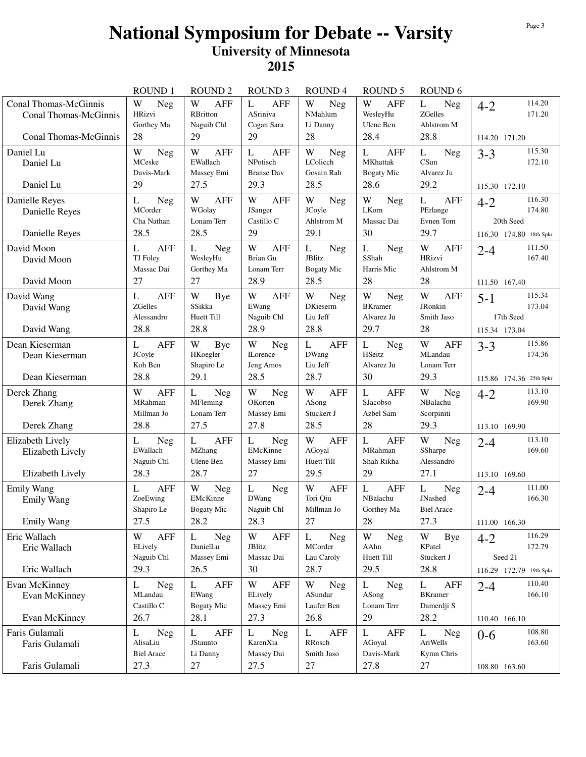|                                                                                | <b>ROUND1</b>                                     | <b>ROUND 2</b>                                                   | <b>ROUND 3</b>                                    | <b>ROUND4</b>                                          | <b>ROUND 5</b>                                       | ROUND <sub>6</sub>                                      |                                                                     |
|--------------------------------------------------------------------------------|---------------------------------------------------|------------------------------------------------------------------|---------------------------------------------------|--------------------------------------------------------|------------------------------------------------------|---------------------------------------------------------|---------------------------------------------------------------------|
| Conal Thomas-McGinnis<br><b>Conal Thomas-McGinnis</b><br>Conal Thomas-McGinnis | W<br><b>Neg</b><br>HRizvi<br>Gorthey Ma<br>28     | W<br><b>AFF</b><br>RBritton<br>Naguib Chl<br>29                  | L<br><b>AFF</b><br>ASriniva<br>Cogan Sara<br>29   | W<br>Neg<br>NMahlum<br>Li Danny<br>28                  | W<br><b>AFF</b><br>WesleyHu<br>Ulene Ben<br>28.4     | L<br><b>Neg</b><br>ZGelles<br>Ahlstrom M<br>28.8        | 114.20<br>$4 - 2$<br>171.20                                         |
|                                                                                |                                                   |                                                                  |                                                   |                                                        |                                                      |                                                         | 114.20 171.20                                                       |
| Daniel Lu<br>Daniel Lu                                                         | W<br>Neg<br>MCeske<br>Davis-Mark                  | W<br><b>AFF</b><br>EWallach<br>Massey Emi                        | <b>AFF</b><br>L<br>NPotisch<br><b>Branse Dav</b>  | W<br><b>Neg</b><br>LColicch<br>Gosain Rah              | L<br><b>AFF</b><br>MKhattak<br>Bogaty Mic            | Neg<br>L<br>CSun<br>Alvarez Ju                          | 115.30<br>$3 - 3$<br>172.10                                         |
| Daniel Lu                                                                      | 29                                                | 27.5                                                             | 29.3                                              | 28.5                                                   | 28.6                                                 | 29.2                                                    | 115.30 172.10                                                       |
| Danielle Reyes<br>Danielle Reyes<br>Danielle Reyes                             | L<br>Neg<br>MCorder<br>Cha Nathan<br>28.5         | W<br><b>AFF</b><br>WGolay<br>Lonam Terr<br>28.5                  | W<br><b>AFF</b><br>JSanger<br>Castillo C<br>29    | W<br><b>Neg</b><br>JCoyle<br>Ahlstrom M<br>29.1        | W<br><b>Neg</b><br>LKorn<br>Massac Dai<br>30         | L<br><b>AFF</b><br>PErlange<br>Evnen Tom<br>29.7        | 116.30<br>$4 - 2$<br>174.80<br>20th Seed<br>116.30 174.80 18th Spkr |
| David Moon<br>David Moon<br>David Moon                                         | <b>AFF</b><br>L<br>TJ Foley<br>Massac Dai<br>27   | L<br>Neg<br>WesleyHu<br>Gorthey Ma<br>27                         | W<br><b>AFF</b><br>Brian Gu<br>Lonam Terr<br>28.9 | L<br><b>Neg</b><br>JBlitz<br><b>Bogaty Mic</b><br>28.5 | L<br>Neg<br>SShah<br>Harris Mic<br>28                | W<br><b>AFF</b><br>HRizvi<br>Ahlstrom M<br>28           | 111.50<br>$2 - 4$<br>167.40<br>111.50 167.40                        |
|                                                                                |                                                   |                                                                  |                                                   |                                                        |                                                      |                                                         | 115.34                                                              |
| David Wang<br>David Wang                                                       | L<br><b>AFF</b><br>ZGelles<br>Alessandro          | W<br>Bye<br>SSikka<br>Huett Till                                 | W<br><b>AFF</b><br>EWang<br>Naguib Chl            | W<br><b>Neg</b><br><b>DKieserm</b><br>Liu Jeff         | W<br>Neg<br><b>BKramer</b><br>Alvarez Ju             | W<br><b>AFF</b><br>JRonkin<br>Smith Jaso                | $5 - 1$<br>173.04<br>17th Seed                                      |
| David Wang                                                                     | 28.8                                              | 28.8                                                             | 28.9                                              | 28.8                                                   | 29.7                                                 | 28                                                      | 115.34 173.04                                                       |
| Dean Kieserman<br>Dean Kieserman                                               | L<br><b>AFF</b><br>JCoyle<br>Koh Ben              | W<br>Bye<br>HKoegler<br>Shapiro Le                               | W<br>Neg<br><b>ILorence</b><br>Jeng Amos          | $\mathbf{L}$<br><b>AFF</b><br>DWang<br>Liu Jeff        | L<br>Neg<br><b>HSeitz</b><br>Alvarez Ju              | W<br><b>AFF</b><br>MLandau<br>Lonam Terr                | 115.86<br>$3 - 3$<br>174.36                                         |
| Dean Kieserman                                                                 | 28.8                                              | 29.1                                                             | 28.5                                              | 28.7                                                   | 30                                                   | 29.3                                                    | 115.86 174.36 25th Spkr                                             |
| Derek Zhang<br>Derek Zhang                                                     | W<br><b>AFF</b><br>MRahman<br>Millman Jo          | $\mathbf{L}$<br>Neg<br>MFleming<br>Lonam Terr                    | W<br><b>Neg</b><br>OKorten<br>Massey Emi          | W<br><b>AFF</b><br>ASong<br>Stuckert J                 | <b>AFF</b><br>L<br>SJacobso<br>Azbel Sam             | W<br><b>Neg</b><br>NBalachu<br>Scorpiniti               | 113.10<br>$4 - 2$<br>169.90                                         |
| Derek Zhang                                                                    | 28.8                                              | 27.5                                                             | 27.8                                              | 28.5                                                   | 28                                                   | 29.3                                                    | 113.10 169.90                                                       |
| Elizabeth Lively<br>Elizabeth Lively<br>Elizabeth Lively                       | <b>Neg</b><br>L<br>EWallach<br>Naguib Chl<br>28.3 | <b>AFF</b><br>L<br>MZhang<br>Ulene Ben<br>28.7                   | L<br>Neg<br>EMcKinne<br>Massey Emi<br>27          | W<br><b>AFF</b><br>AGoyal<br>Huett Till<br>29.5        | <b>AFF</b><br>L<br>MRahman<br>Shah Rikha<br>29       | $\mathbf W$<br>Neg<br>SSharpe<br>Alessandro<br>27.1     | 113.10<br>$2 - 4$<br>169.60                                         |
|                                                                                |                                                   |                                                                  |                                                   |                                                        |                                                      |                                                         | 113.10 169.60                                                       |
| <b>Emily Wang</b><br><b>Emily Wang</b>                                         | L<br><b>AFF</b><br>ZoeEwing<br>Shapiro Le         | W<br>Neg<br>EMcKinne<br>Bogaty Mic                               | $\mathbf{L}$<br>Neg<br><b>DWang</b><br>Naguib Chl | W<br><b>AFF</b><br>Tori Oiu<br>Millman Jo              | $\mathbf{L}$<br><b>AFF</b><br>NBalachu<br>Gorthey Ma | L<br>Neg<br>JNashed<br><b>Biel Arace</b>                | 111.00<br>$2 - 4$<br>166.30                                         |
| <b>Emily Wang</b>                                                              | 27.5                                              | 28.2                                                             | 28.3                                              | 27                                                     | 28                                                   | 27.3                                                    | 111.00 166.30                                                       |
| Eric Wallach<br>Eric Wallach                                                   | W<br><b>AFF</b><br>ELively<br>Naguib Chl          | <b>Neg</b><br>L<br>DanielLu<br>Massey Emi                        | W<br><b>AFF</b><br>JBlitz<br>Massac Dai           | L<br>Neg<br>MCorder<br>Lau Caroly                      | W<br><b>Neg</b><br>AAhn<br>Huett Till                | W<br>Bye<br>KPatel<br>Stuckert J                        | 116.29<br>$4 - 2$<br>172.79<br>Seed 21                              |
| Eric Wallach                                                                   | 29.3                                              | 26.5                                                             | 30                                                | 28.7                                                   | 29.5                                                 | 28.8                                                    | 116.29 172.79 19th Spkr                                             |
| Evan McKinney<br>Evan McKinney<br>Evan McKinney                                | L<br><b>Neg</b><br>MLandau<br>Castillo C<br>26.7  | $\mathbf{L}$<br><b>AFF</b><br>EWang<br><b>Bogaty Mic</b><br>28.1 | W<br><b>AFF</b><br>ELively<br>Massey Emi<br>27.3  | W<br>Neg<br>ASundar<br>Laufer Ben<br>26.8              | L<br>Neg<br>ASong<br>Lonam Terr<br>29                | L<br><b>AFF</b><br><b>BKramer</b><br>Damerdji S<br>28.2 | 110.40<br>$2 - 4$<br>166.10                                         |
|                                                                                |                                                   |                                                                  |                                                   |                                                        |                                                      |                                                         | 110.40 166.10                                                       |
| Faris Gulamali<br>Faris Gulamali                                               | Neg<br>L<br>AlisaLiu<br><b>Biel Arace</b>         | L<br><b>AFF</b><br>JStaunto<br>Li Danny                          | Neg<br>L<br>KarenXia<br>Massey Dai                | <b>AFF</b><br>L<br>RRosch<br>Smith Jaso                | <b>AFF</b><br>L<br>AGoyal<br>Davis-Mark              | L<br>Neg<br>AriWells<br>Kymn Chris                      | 108.80<br>$0 - 6$<br>163.60                                         |
| Faris Gulamali                                                                 | 27.3                                              | 27                                                               | 27.5                                              | 27                                                     | 27.8                                                 | 27                                                      | 108.80 163.60                                                       |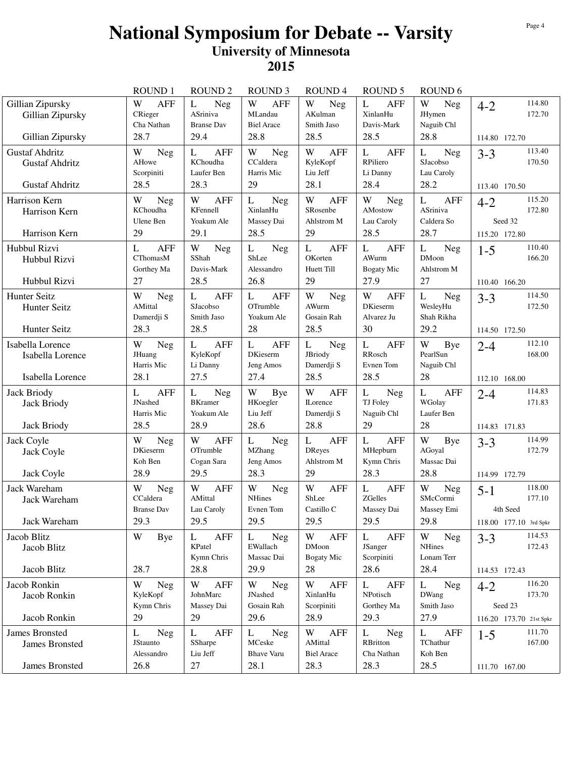|                                                                         | ROUND <sub>1</sub>                                       | <b>ROUND 2</b>                                                        | <b>ROUND 3</b>                                                     | <b>ROUND4</b>                                              | <b>ROUND 5</b>                                             | ROUND <sub>6</sub>                                |                                                                   |
|-------------------------------------------------------------------------|----------------------------------------------------------|-----------------------------------------------------------------------|--------------------------------------------------------------------|------------------------------------------------------------|------------------------------------------------------------|---------------------------------------------------|-------------------------------------------------------------------|
| Gillian Zipursky<br>Gillian Zipursky<br>Gillian Zipursky                | W<br><b>AFF</b><br>CRieger<br>Cha Nathan<br>28.7         | L<br><b>Neg</b><br>ASriniva<br><b>Branse Dav</b><br>29.4              | W<br><b>AFF</b><br>MLandau<br><b>Biel Arace</b><br>28.8            | W<br><b>Neg</b><br>AKulman<br>Smith Jaso<br>28.5           | <b>AFF</b><br>L<br>XinlanHu<br>Davis-Mark<br>28.5          | W<br>Neg<br>JHymen<br>Naguib Chl<br>28.8          | 114.80<br>$4 - 2$<br>172.70<br>114.80 172.70                      |
| <b>Gustaf Ahdritz</b><br><b>Gustaf Ahdritz</b><br><b>Gustaf Ahdritz</b> | W<br><b>Neg</b><br>AHowe<br>Scorpiniti<br>28.5           | <b>AFF</b><br>L<br>KChoudha<br>Laufer Ben<br>28.3                     | W<br><b>Neg</b><br>CCaldera<br>Harris Mic<br>29                    | <b>AFF</b><br>W<br>KyleKopf<br>Liu Jeff<br>28.1            | L<br><b>AFF</b><br>RPiliero<br>Li Danny<br>28.4            | L<br>Neg<br>SJacobso<br>Lau Caroly<br>28.2        | 113.40<br>$3 - 3$<br>170.50<br>113.40 170.50                      |
| Harrison Kern<br>Harrison Kern<br>Harrison Kern                         | W<br>Neg<br>KChoudha<br>Ulene Ben<br>29                  | W<br><b>AFF</b><br>KFennell<br>Yoakum Ale<br>29.1                     | L<br>Neg<br>XinlanHu<br>Massey Dai<br>28.5                         | W<br><b>AFF</b><br>SRosenbe<br>Ahlstrom M<br>29            | W<br><b>Neg</b><br>AMostow<br>Lau Caroly<br>28.5           | L<br><b>AFF</b><br>ASriniva<br>Caldera So<br>28.7 | 115.20<br>$4 - 2$<br>172.80<br>Seed 32<br>115.20 172.80           |
| Hubbul Rizvi<br>Hubbul Rizvi<br>Hubbul Rizvi                            | <b>AFF</b><br>L<br>CThomasM<br>Gorthey Ma<br>27          | W<br><b>Neg</b><br>SShah<br>Davis-Mark<br>28.5                        | L<br><b>Neg</b><br>ShLee<br>Alessandro<br>26.8                     | <b>AFF</b><br>L<br>OKorten<br>Huett Till<br>29             | <b>AFF</b><br>L<br>AWurm<br><b>Bogaty Mic</b><br>27.9      | L<br>Neg<br><b>DMoon</b><br>Ahlstrom M<br>27      | 110.40<br>$1 - 5$<br>166.20<br>110.40 166.20                      |
| Hunter Seitz<br><b>Hunter Seitz</b><br>Hunter Seitz                     | W<br>Neg<br>AMittal<br>Damerdii S<br>28.3                | L<br><b>AFF</b><br>SJacobso<br>Smith Jaso<br>28.5                     | <b>AFF</b><br>L<br>OTrumble<br>Yoakum Ale<br>28                    | W<br>Neg<br>AWurm<br>Gosain Rah<br>28.5                    | W<br><b>AFF</b><br><b>DKieserm</b><br>Alvarez Ju<br>30     | L<br>Neg<br>WesleyHu<br>Shah Rikha<br>29.2        | 114.50<br>$3 - 3$<br>172.50<br>114.50 172.50                      |
| Isabella Lorence<br>Isabella Lorence<br>Isabella Lorence                | W<br><b>Neg</b><br>JHuang<br>Harris Mic<br>28.1          | L<br><b>AFF</b><br>KyleKopf<br>Li Danny<br>27.5                       | $\mathbf{L}$<br><b>AFF</b><br><b>DKieserm</b><br>Jeng Amos<br>27.4 | L<br>Neg<br>JBriody<br>Damerdji S<br>28.5                  | $\mathbf L$<br><b>AFF</b><br>RRosch<br>Evnen Tom<br>28.5   | W<br>Bye<br>PearlSun<br>Naguib Chl<br>28          | 112.10<br>$2 - 4$<br>168.00<br>112.10 168.00                      |
| <b>Jack Briody</b><br>Jack Briody<br>Jack Briody                        | <b>AFF</b><br>L<br><b>JNashed</b><br>Harris Mic<br>28.5  | L<br><b>Neg</b><br><b>BKramer</b><br>Yoakum Ale<br>28.9               | W<br>Bye<br>HKoegler<br>Liu Jeff<br>28.6                           | W<br><b>AFF</b><br><b>ILorence</b><br>Damerdji S<br>28.8   | Neg<br>L<br>TJ Foley<br>Naguib Chl<br>29                   | L<br><b>AFF</b><br>WGolay<br>Laufer Ben<br>28     | 114.83<br>$2 - 4$<br>171.83<br>114.83 171.83                      |
| Jack Coyle<br>Jack Coyle<br>Jack Coyle                                  | W<br><b>Neg</b><br><b>DKieserm</b><br>Koh Ben<br>28.9    | W<br><b>AFF</b><br>OTrumble<br>Cogan Sara<br>29.5                     | L<br><b>Neg</b><br><b>MZhang</b><br>Jeng Amos<br>28.3              | L<br><b>AFF</b><br><b>DReyes</b><br>Ahlstrom M<br>29       | L<br><b>AFF</b><br>MHepburn<br>Kymn Chris<br>28.3          | W<br>Bye<br>AGoyal<br>Massac Dai<br>28.8          | 114.99<br>$3 - 3$<br>172.79<br>114.99 172.79                      |
| Jack Wareham<br>Jack Wareham<br>Jack Wareham                            | W<br><b>Neg</b><br>CCaldera<br><b>Branse Dav</b><br>29.3 | W<br><b>AFF</b><br>AMittal<br>Lau Caroly<br>29.5                      | W<br><b>Neg</b><br><b>NHines</b><br>Evnen Tom<br>29.5              | W<br><b>AFF</b><br>ShLee<br>Castillo C<br>29.5             | $\mathbf L$<br><b>AFF</b><br>ZGelles<br>Massey Dai<br>29.5 | W<br>Neg<br>SMcCormi<br>Massey Emi<br>29.8        | 118.00<br>$5 - 1$<br>177.10<br>4th Seed<br>118.00 177.10 3rd Spkr |
| Jacob Blitz<br>Jacob Blitz<br>Jacob Blitz                               | W<br>Bye<br>28.7                                         | <b>AFF</b><br>L<br>KPatel<br>Kymn Chris<br>28.8                       | <b>Neg</b><br>L<br>EWallach<br>Massac Dai<br>29.9                  | W<br><b>AFF</b><br><b>DMoon</b><br><b>Bogaty Mic</b><br>28 | L<br><b>AFF</b><br>JSanger<br>Scorpiniti<br>28.6           | W<br>Neg<br><b>NHines</b><br>Lonam Terr<br>28.4   | 114.53<br>$3 - 3$<br>172.43<br>114.53 172.43                      |
| Jacob Ronkin<br>Jacob Ronkin<br>Jacob Ronkin                            | W<br><b>Neg</b><br>KyleKopf<br>Kymn Chris<br>29          | $\ensuremath{\text{W}}$<br><b>AFF</b><br>JohnMarc<br>Massey Dai<br>29 | W<br>Neg<br>JNashed<br>Gosain Rah<br>29.6                          | W<br>AFF<br>XinlanHu<br>Scorpiniti<br>28.9                 | L<br><b>AFF</b><br>NPotisch<br>Gorthey Ma<br>29.3          | L<br>Neg<br><b>DWang</b><br>Smith Jaso<br>27.9    | 116.20<br>$4 - 2$<br>173.70<br>Seed 23<br>116.20 173.70 21st Spkr |
| <b>James Bronsted</b><br><b>James Bronsted</b>                          | L<br><b>Neg</b><br>JStaunto<br>Alessandro                | AFF<br>L<br>SSharpe<br>Liu Jeff                                       | Neg<br>L<br>MCeske<br><b>Bhave Varu</b>                            | W<br>AFF<br>AMittal<br><b>Biel Arace</b>                   | <b>Neg</b><br>L<br>RBritton<br>Cha Nathan                  | L<br><b>AFF</b><br>TChathur<br>Koh Ben            | 111.70<br>$1-5$<br>167.00                                         |
| James Bronsted                                                          | 26.8                                                     | 27                                                                    | 28.1                                                               | 28.3                                                       | 28.3                                                       | 28.5                                              | 111.70 167.00                                                     |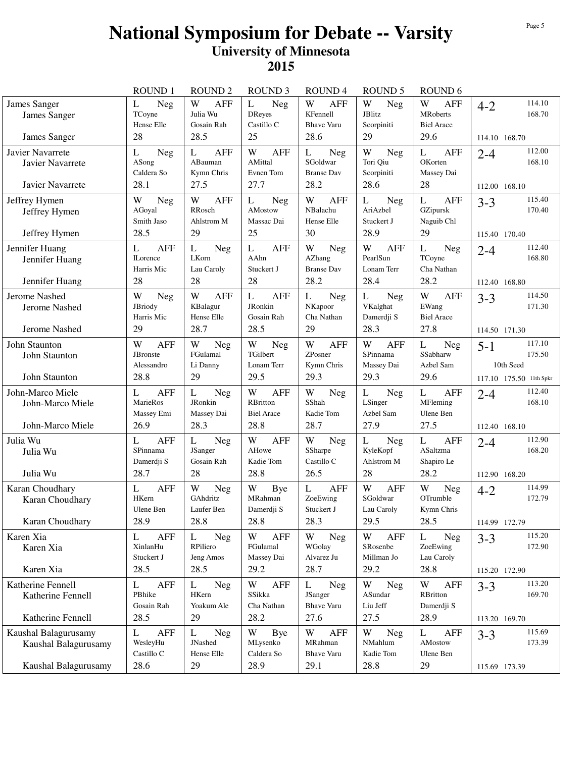|                                                                      | <b>ROUND1</b>                                          | <b>ROUND 2</b>                                    | <b>ROUND 3</b>                                                  | <b>ROUND4</b>                                                       | <b>ROUND 5</b>                                              | ROUND <sub>6</sub>                                              |                                                                     |
|----------------------------------------------------------------------|--------------------------------------------------------|---------------------------------------------------|-----------------------------------------------------------------|---------------------------------------------------------------------|-------------------------------------------------------------|-----------------------------------------------------------------|---------------------------------------------------------------------|
| James Sanger<br>James Sanger<br>James Sanger                         | L<br><b>Neg</b><br>TCoyne<br>Hense Elle<br>28          | W<br><b>AFF</b><br>Julia Wu<br>Gosain Rah<br>28.5 | L<br>Neg<br>DReyes<br>Castillo C<br>25                          | W<br><b>AFF</b><br>KFennell<br><b>Bhave Varu</b><br>28.6            | W<br>Neg<br><b>JBlitz</b><br>Scorpiniti<br>29               | W<br><b>AFF</b><br><b>MRoberts</b><br><b>Biel Arace</b><br>29.6 | 114.10<br>$4 - 2$<br>168.70<br>114.10 168.70                        |
| Javier Navarrete<br>Javier Navarrete<br>Javier Navarrete             | Neg<br>L<br>ASong<br>Caldera So<br>28.1                | <b>AFF</b><br>L<br>ABauman<br>Kymn Chris<br>27.5  | W<br><b>AFF</b><br>AMittal<br>Evnen Tom<br>27.7                 | Neg<br>L<br>SGoldwar<br><b>Branse Dav</b><br>28.2                   | W<br>Neg<br>Tori Qiu<br>Scorpiniti<br>28.6                  | <b>AFF</b><br>L<br>OKorten<br>Massey Dai<br>28                  | 112.00<br>$2 - 4$<br>168.10<br>112.00 168.10                        |
| Jeffrey Hymen<br>Jeffrey Hymen<br>Jeffrey Hymen                      | W<br><b>Neg</b><br>AGoyal<br>Smith Jaso<br>28.5        | W<br><b>AFF</b><br>RRosch<br>Ahlstrom M<br>29     | L<br><b>Neg</b><br>AMostow<br>Massac Dai<br>25                  | W<br><b>AFF</b><br>NBalachu<br>Hense Elle<br>30                     | L<br><b>Neg</b><br>AriAzbel<br>Stuckert J<br>28.9           | $\mathbf{L}$<br><b>AFF</b><br>GZipursk<br>Naguib Chl<br>29      | 115.40<br>$3 - 3$<br>170.40<br>115.40 170.40                        |
| Jennifer Huang<br>Jennifer Huang<br>Jennifer Huang                   | <b>AFF</b><br>L<br><b>ILorence</b><br>Harris Mic<br>28 | L<br>Neg<br>LKorn<br>Lau Caroly<br>28             | <b>AFF</b><br>L<br>AAhn<br>Stuckert J<br>28                     | W<br><b>Neg</b><br>AZhang<br><b>Branse Dav</b><br>28.2              | W<br><b>AFF</b><br>PearlSun<br>Lonam Terr<br>28.4           | L<br>Neg<br>TCoyne<br>Cha Nathan<br>28.2                        | 112.40<br>$2 - 4$<br>168.80<br>112.40 168.80                        |
| Jerome Nashed<br>Jerome Nashed<br>Jerome Nashed                      | W<br>Neg<br>JBriody<br>Harris Mic<br>29                | W<br><b>AFF</b><br>KBalagur<br>Hense Elle<br>28.7 | <b>AFF</b><br>L<br>JRonkin<br>Gosain Rah<br>28.5                | L<br><b>Neg</b><br>NKapoor<br>Cha Nathan<br>29                      | L<br>Neg<br>VKalghat<br>Damerdji S<br>28.3                  | W<br><b>AFF</b><br>EWang<br><b>Biel Arace</b><br>27.8           | 114.50<br>$3 - 3$<br>171.30<br>114.50 171.30                        |
| John Staunton<br>John Staunton<br>John Staunton                      | W<br><b>AFF</b><br>JBronste<br>Alessandro<br>28.8      | W<br>Neg<br>FGulamal<br>Li Danny<br>29            | W<br>Neg<br>TGilbert<br>Lonam Terr<br>29.5                      | W<br><b>AFF</b><br>ZPosner<br>Kymn Chris<br>29.3                    | W<br><b>AFF</b><br>SPinnama<br>Massey Dai<br>29.3           | $\mathbf{L}$<br>Neg<br>SSabharw<br>Azbel Sam<br>29.6            | 117.10<br>$5 - 1$<br>175.50<br>10th Seed<br>117.10 175.50 11th Spkr |
| John-Marco Miele<br>John-Marco Miele<br>John-Marco Miele             | <b>AFF</b><br>L<br>MarieRos<br>Massey Emi<br>26.9      | L<br><b>Neg</b><br>JRonkin<br>Massey Dai<br>28.3  | <b>AFF</b><br>W<br>RBritton<br><b>Biel Arace</b><br>28.8        | $\ensuremath{\text{W}}$<br><b>Neg</b><br>SShah<br>Kadie Tom<br>28.7 | L<br><b>Neg</b><br>LSinger<br>Azbel Sam<br>27.9             | L<br><b>AFF</b><br>MFleming<br>Ulene Ben<br>27.5                | 112.40<br>$2 - 4$<br>168.10<br>112.40 168.10                        |
| Julia Wu<br>Julia Wu<br>Julia Wu                                     | <b>AFF</b><br>L<br>SPinnama<br>Damerdji S<br>28.7      | L<br>Neg<br>JSanger<br>Gosain Rah<br>28           | W<br><b>AFF</b><br>AHowe<br>Kadie Tom<br>28.8                   | W<br><b>Neg</b><br>SSharpe<br>Castillo C<br>26.5                    | L<br>Neg<br>KyleKopf<br>Ahlstrom M<br>28                    | L<br><b>AFF</b><br>ASaltzma<br>Shapiro Le<br>28.2               | 112.90<br>$2 - 4$<br>168.20<br>112.90 168.20                        |
| Karan Choudhary<br>Karan Choudhary<br>Karan Choudhary                | L<br><b>AFF</b><br>HKern<br>Ulene Ben<br>28.9          | W<br><b>Neg</b><br>GAhdritz<br>Laufer Ben<br>28.8 | $\ensuremath{\text{W}}$<br>Bye<br>MRahman<br>Damerdji S<br>28.8 | $\mathbf{L}$<br><b>AFF</b><br>ZoeEwing<br>Stuckert J<br>28.3        | W<br><b>AFF</b><br>SGoldwar<br>Lau Caroly<br>29.5           | W<br>Neg<br>OTrumble<br>Kymn Chris<br>28.5                      | 114.99<br>$4 - 2$<br>172.79<br>114.99 172.79                        |
| Karen Xia<br>Karen Xia<br>Karen Xia                                  | <b>AFF</b><br>L<br>XinlanHu<br>Stuckert J<br>28.5      | <b>Neg</b><br>L<br>RPiliero<br>Jeng Amos<br>28.5  | <b>AFF</b><br>W<br>FGulamal<br>Massey Dai<br>29.2               | W<br>Neg<br>WGolay<br>Alvarez Ju<br>28.7                            | W<br><b>AFF</b><br>SRosenbe<br>Millman Jo<br>29.2           | L<br><b>Neg</b><br>ZoeEwing<br>Lau Caroly<br>28.8               | 115.20<br>$3 - 3$<br>172.90<br>115.20 172.90                        |
| Katherine Fennell<br>Katherine Fennell<br>Katherine Fennell          | AFF<br>L<br>PBhike<br>Gosain Rah<br>28.5               | L<br>Neg<br>HKern<br>Yoakum Ale<br>29             | W<br><b>AFF</b><br>SSikka<br>Cha Nathan<br>28.2                 | L<br>Neg<br>JSanger<br><b>Bhave Varu</b><br>27.6                    | W<br>Neg<br>ASundar<br>Liu Jeff<br>27.5                     | W<br><b>AFF</b><br>RBritton<br>Damerdji S<br>28.9               | 113.20<br>$3 - 3$<br>169.70<br>113.20 169.70                        |
| Kaushal Balagurusamy<br>Kaushal Balagurusamy<br>Kaushal Balagurusamy | <b>AFF</b><br>L<br>WesleyHu<br>Castillo C<br>28.6      | L<br><b>Neg</b><br>JNashed<br>Hense Elle<br>29    | W<br>Bye<br>MLysenko<br>Caldera So<br>28.9                      | W<br><b>AFF</b><br>MRahman<br><b>Bhave Varu</b><br>29.1             | W<br><b>Neg</b><br>$\mathbf{NM}$ ahlum<br>Kadie Tom<br>28.8 | L<br><b>AFF</b><br>AMostow<br>Ulene Ben<br>29                   | 115.69<br>$3 - 3$<br>173.39<br>115.69 173.39                        |
|                                                                      |                                                        |                                                   |                                                                 |                                                                     |                                                             |                                                                 |                                                                     |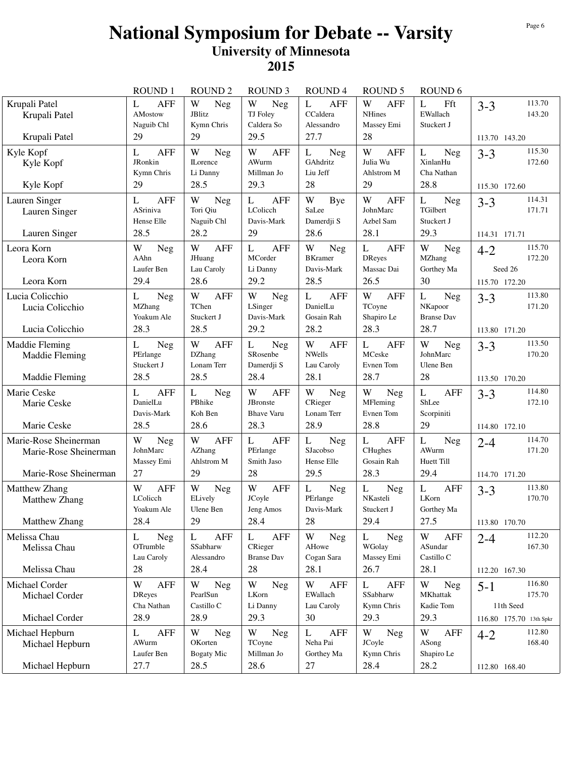|                                                                         | <b>ROUND1</b>                                          | <b>ROUND 2</b>                                          | <b>ROUND 3</b>                                                  | <b>ROUND4</b>                                                | <b>ROUND 5</b>                                            | ROUND <sub>6</sub>                                          |                                                                     |
|-------------------------------------------------------------------------|--------------------------------------------------------|---------------------------------------------------------|-----------------------------------------------------------------|--------------------------------------------------------------|-----------------------------------------------------------|-------------------------------------------------------------|---------------------------------------------------------------------|
| Krupali Patel<br>Krupali Patel<br>Krupali Patel                         | <b>AFF</b><br>L<br>AMostow<br>Naguib Chl<br>29         | W<br><b>Neg</b><br>JBlitz<br>Kymn Chris<br>29           | W<br><b>Neg</b><br>TJ Foley<br>Caldera So<br>29.5               | $\mathbf{L}$<br><b>AFF</b><br>CCaldera<br>Alessandro<br>27.7 | W<br><b>AFF</b><br><b>NHines</b><br>Massey Emi<br>28      | L<br>Fft<br>EWallach<br>Stuckert J                          | 113.70<br>$3 - 3$<br>143.20<br>113.70 143.20                        |
| Kyle Kopf<br>Kyle Kopf<br>Kyle Kopf                                     | <b>AFF</b><br>L<br>JRonkin<br>Kymn Chris<br>29         | W<br>Neg<br><b>ILorence</b><br>Li Danny<br>28.5         | <b>AFF</b><br>W<br>AWurm<br>Millman Jo<br>29.3                  | L<br><b>Neg</b><br>GAhdritz<br>Liu Jeff<br>28                | W<br><b>AFF</b><br>Julia Wu<br>Ahlstrom M<br>29           | L<br>Neg<br>XinlanHu<br>Cha Nathan<br>28.8                  | 115.30<br>$3 - 3$<br>172.60<br>115.30 172.60                        |
| Lauren Singer<br>Lauren Singer<br>Lauren Singer                         | L<br><b>AFF</b><br>ASriniva<br>Hense Elle<br>28.5      | W<br>Neg<br>Tori Qiu<br>Naguib Chl<br>28.2              | L<br><b>AFF</b><br>LColicch<br>Davis-Mark<br>29                 | W<br>Bye<br>SaLee<br>Damerdji S<br>28.6                      | W<br><b>AFF</b><br>JohnMarc<br>Azbel Sam<br>28.1          | $\mathbf L$<br><b>Neg</b><br>TGilbert<br>Stuckert J<br>29.3 | 114.31<br>$3 - 3$<br>171.71<br>114.31 171.71                        |
| Leora Korn<br>Leora Korn<br>Leora Korn                                  | W<br><b>Neg</b><br>AAhn<br>Laufer Ben<br>29.4          | W<br><b>AFF</b><br>JHuang<br>Lau Caroly<br>28.6         | <b>AFF</b><br>L<br>MCorder<br>Li Danny<br>29.2                  | W<br><b>Neg</b><br><b>BKramer</b><br>Davis-Mark<br>28.5      | L<br><b>AFF</b><br><b>DReyes</b><br>Massac Dai<br>26.5    | W<br>Neg<br>MZhang<br>Gorthey Ma<br>30                      | 115.70<br>$4 - 2$<br>172.20<br>Seed 26<br>115.70 172.20             |
| Lucia Colicchio<br>Lucia Colicchio<br>Lucia Colicchio                   | Neg<br>L<br><b>MZhang</b><br>Yoakum Ale<br>28.3        | W<br><b>AFF</b><br>TChen<br>Stuckert J<br>28.5          | W<br>Neg<br>LSinger<br>Davis-Mark<br>29.2                       | L<br><b>AFF</b><br>DanielLu<br>Gosain Rah<br>28.2            | W<br><b>AFF</b><br>TCoyne<br>Shapiro Le<br>28.3           | L<br>Neg<br>NKapoor<br><b>Branse Dav</b><br>28.7            | 113.80<br>$3 - 3$<br>171.20<br>113.80 171.20                        |
| Maddie Fleming<br>Maddie Fleming<br>Maddie Fleming                      | L<br><b>Neg</b><br>PErlange<br>Stuckert J<br>28.5      | W<br><b>AFF</b><br><b>DZhang</b><br>Lonam Terr<br>28.5  | $\mathbf L$<br>Neg<br>SRosenbe<br>Damerdji S<br>28.4            | W<br><b>AFF</b><br><b>NWells</b><br>Lau Caroly<br>28.1       | $\mathbf{L}$<br><b>AFF</b><br>MCeske<br>Evnen Tom<br>28.7 | W<br>Neg<br>JohnMarc<br>Ulene Ben<br>28                     | 113.50<br>$3 - 3$<br>170.20                                         |
| Marie Ceske<br>Marie Ceske<br>Marie Ceske                               | AFF<br>L<br>DanielLu<br>Davis-Mark<br>28.5             | <b>Neg</b><br>L<br>PBhike<br>Koh Ben<br>28.6            | <b>AFF</b><br>W<br><b>JBronste</b><br><b>Bhave Varu</b><br>28.3 | W<br>Neg<br>CRieger<br>Lonam Terr<br>28.9                    | W<br><b>Neg</b><br>MFleming<br>Evnen Tom<br>28.8          | L<br><b>AFF</b><br>ShLee<br>Scorpiniti<br>29                | 113.50 170.20<br>114.80<br>$3 - 3$<br>172.10<br>114.80 172.10       |
| Marie-Rose Sheinerman<br>Marie-Rose Sheinerman<br>Marie-Rose Sheinerman | W<br>Neg<br>JohnMarc<br>Massey Emi<br>27               | W<br><b>AFF</b><br>AZhang<br>Ahlstrom M<br>29           | L<br><b>AFF</b><br>PErlange<br>Smith Jaso<br>28                 | $\mathbf{L}$<br><b>Neg</b><br>SJacobso<br>Hense Elle<br>29.5 | <b>AFF</b><br>L<br>CHughes<br>Gosain Rah<br>28.3          | $\mathbf L$<br>Neg<br>AWurm<br>Huett Till<br>29.4           | 114.70<br>$2 - 4$<br>171.20<br>114.70 171.20                        |
| Matthew Zhang<br>Matthew Zhang<br><b>Matthew Zhang</b>                  | W<br><b>AFF</b><br>LColicch<br>Yoakum Ale<br>28.4      | W<br><b>Neg</b><br>ELively<br>Ulene Ben<br>29           | W<br><b>AFF</b><br>JCoyle<br>Jeng Amos<br>28.4                  | L<br><b>Neg</b><br>PErlange<br>Davis-Mark<br>28              | L<br><b>Neg</b><br>NKasteli<br>Stuckert J<br>29.4         | $\mathbf L$<br><b>AFF</b><br>LKorn<br>Gorthey Ma<br>27.5    | 113.80<br>$3 - 3$<br>170.70<br>113.80 170.70                        |
| Melissa Chau<br>Melissa Chau<br>Melissa Chau                            | Neg<br>L<br>OTrumble<br>Lau Caroly<br>28               | <b>AFF</b><br>L<br>SSabharw<br>Alessandro<br>28.4       | <b>AFF</b><br>L<br>CRieger<br><b>Branse Dav</b><br>28           | W<br><b>Neg</b><br>AHowe<br>Cogan Sara<br>28.1               | <b>Neg</b><br>L<br>WGolay<br>Massey Emi<br>26.7           | W<br><b>AFF</b><br>ASundar<br>Castillo C<br>28.1            | 112.20<br>$2 - 4$<br>167.30<br>112.20 167.30                        |
| Michael Corder<br>Michael Corder<br>Michael Corder                      | W<br><b>AFF</b><br><b>DReyes</b><br>Cha Nathan<br>28.9 | W<br><b>Neg</b><br>PearlSun<br>Castillo C<br>28.9       | W<br>Neg<br>LKorn<br>Li Danny<br>29.3                           | W<br><b>AFF</b><br>EWallach<br>Lau Caroly<br>30              | L<br><b>AFF</b><br>SSabharw<br>Kymn Chris<br>29.3         | W<br><b>Neg</b><br>MKhattak<br>Kadie Tom<br>29.3            | 116.80<br>$5 - 1$<br>175.70<br>11th Seed<br>116.80 175.70 13th Spkr |
| Michael Hepburn<br>Michael Hepburn<br>Michael Hepburn                   | <b>AFF</b><br>L<br>AWurm<br>Laufer Ben<br>27.7         | W<br><b>Neg</b><br>OKorten<br><b>Bogaty Mic</b><br>28.5 | W<br>Neg<br>TCoyne<br>Millman Jo<br>28.6                        | L<br>AFF<br>Neha Pai<br>Gorthey Ma<br>27                     | W<br><b>Neg</b><br>JCoyle<br>Kymn Chris<br>28.4           | W<br>AFF<br>ASong<br>Shapiro Le<br>28.2                     | 112.80<br>$4 - 2$<br>168.40<br>112.80 168.40                        |
|                                                                         |                                                        |                                                         |                                                                 |                                                              |                                                           |                                                             |                                                                     |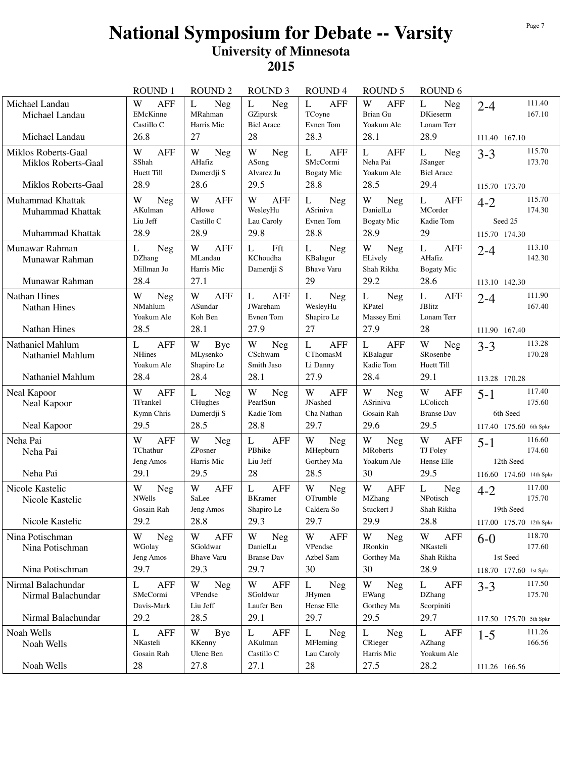|                                                                   | <b>ROUND1</b>                                          | <b>ROUND 2</b>                                           | <b>ROUND 3</b>                                                     | <b>ROUND4</b>                                               | <b>ROUND 5</b>                                         | ROUND <sub>6</sub>                                          |                                                                     |
|-------------------------------------------------------------------|--------------------------------------------------------|----------------------------------------------------------|--------------------------------------------------------------------|-------------------------------------------------------------|--------------------------------------------------------|-------------------------------------------------------------|---------------------------------------------------------------------|
| Michael Landau<br>Michael Landau<br>Michael Landau                | W<br><b>AFF</b><br>EMcKinne<br>Castillo C<br>26.8      | L<br>Neg<br>MRahman<br>Harris Mic<br>27                  | L<br>Neg<br>GZipursk<br><b>Biel Arace</b><br>28                    | <b>AFF</b><br>L<br>TCoyne<br>Evnen Tom<br>28.3              | W<br><b>AFF</b><br>Brian Gu<br>Yoakum Ale<br>28.1      | L<br>Neg<br><b>DKieserm</b><br>Lonam Terr<br>28.9           | 111.40<br>$2 - 4$<br>167.10<br>111.40 167.10                        |
| Miklos Roberts-Gaal<br>Miklos Roberts-Gaal<br>Miklos Roberts-Gaal | W<br><b>AFF</b><br>SShah<br>Huett Till<br>28.9         | W<br><b>Neg</b><br>AHafiz<br>Damerdji S<br>28.6          | W<br><b>Neg</b><br>ASong<br>Alvarez Ju<br>29.5                     | L<br><b>AFF</b><br>SMcCormi<br>Bogaty Mic<br>28.8           | <b>AFF</b><br>L<br>Neha Pai<br>Yoakum Ale<br>28.5      | L<br>Neg<br>JSanger<br><b>Biel Arace</b><br>29.4            | 115.70<br>$3 - 3$<br>173.70<br>115.70 173.70                        |
| Muhammad Khattak<br>Muhammad Khattak<br>Muhammad Khattak          | W<br><b>Neg</b><br>AKulman<br>Liu Jeff<br>28.9         | W<br>AFF<br>AHowe<br>Castillo C<br>28.9                  | W<br><b>AFF</b><br>WesleyHu<br>Lau Caroly<br>29.8                  | $\mathbf{L}$<br><b>Neg</b><br>ASriniva<br>Evnen Tom<br>28.8 | W<br>Neg<br>DanielLu<br><b>Bogaty Mic</b><br>28.9      | $\mathbf L$<br><b>AFF</b><br>MCorder<br>Kadie Tom<br>29     | 115.70<br>$4 - 2$<br>174.30<br>Seed 25<br>115.70 174.30             |
| Munawar Rahman<br>Munawar Rahman<br>Munawar Rahman                | L<br>Neg<br><b>DZhang</b><br>Millman Jo<br>28.4        | W<br><b>AFF</b><br>MLandau<br>Harris Mic<br>27.1         | Fft<br>L<br>KChoudha<br>Damerdji S                                 | L<br>Neg<br>KBalagur<br><b>Bhave Varu</b><br>29             | W<br><b>Neg</b><br>ELively<br>Shah Rikha<br>29.2       | L<br><b>AFF</b><br>AHafiz<br><b>Bogaty Mic</b><br>28.6      | 113.10<br>$2 - 4$<br>142.30<br>113.10 142.30                        |
| <b>Nathan Hines</b><br><b>Nathan Hines</b><br><b>Nathan Hines</b> | W<br><b>Neg</b><br>NMahlum<br>Yoakum Ale<br>28.5       | W<br><b>AFF</b><br>ASundar<br>Koh Ben<br>28.1            | L<br><b>AFF</b><br>JWareham<br>Evnen Tom<br>27.9                   | L<br>Neg<br>WesleyHu<br>Shapiro Le<br>27                    | L<br><b>Neg</b><br>KPatel<br>Massey Emi<br>27.9        | L<br><b>AFF</b><br><b>JBlitz</b><br>Lonam Terr<br>28        | 111.90<br>$2 - 4$<br>167.40<br>111.90 167.40                        |
| Nathaniel Mahlum<br>Nathaniel Mahlum<br>Nathaniel Mahlum          | L<br><b>AFF</b><br><b>NHines</b><br>Yoakum Ale<br>28.4 | W<br>Bye<br>MLysenko<br>Shapiro Le<br>28.4               | W<br>Neg<br>CSchwam<br>Smith Jaso<br>28.1                          | L<br>AFF<br>CThomasM<br>Li Danny<br>27.9                    | L<br><b>AFF</b><br>KBalagur<br>Kadie Tom<br>28.4       | W<br>Neg<br>SRosenbe<br>Huett Till<br>29.1                  | 113.28<br>$3 - 3$<br>170.28<br>113.28 170.28                        |
| Neal Kapoor<br>Neal Kapoor<br>Neal Kapoor                         | <b>AFF</b><br>W<br>TFrankel<br>Kymn Chris<br>29.5      | L<br>Neg<br>CHughes<br>Damerdji S<br>28.5                | W<br>Neg<br>PearlSun<br>Kadie Tom<br>28.8                          | W<br><b>AFF</b><br><b>JNashed</b><br>Cha Nathan<br>29.7     | W<br>Neg<br>ASriniva<br>Gosain Rah<br>29.6             | W<br><b>AFF</b><br>LColicch<br><b>Branse Dav</b><br>29.5    | 117.40<br>$5 - 1$<br>175.60<br>6th Seed<br>117.40 175.60 6th Spkr   |
| Neha Pai<br>Neha Pai<br>Neha Pai                                  | W<br>AFF<br>TChathur<br>Jeng Amos<br>29.1              | W<br><b>Neg</b><br>ZPosner<br>Harris Mic<br>29.5         | <b>AFF</b><br>L<br>PBhike<br>Liu Jeff<br>28                        | W<br>Neg<br>MHepburn<br>Gorthey Ma<br>28.5                  | W<br>Neg<br><b>MRoberts</b><br>Yoakum Ale<br>30        | W<br>AFF<br>TJ Foley<br>Hense Elle<br>29.5                  | 116.60<br>$5 - 1$<br>174.60<br>12th Seed<br>116.60 174.60 14th Spkr |
| Nicole Kastelic<br>Nicole Kastelic<br>Nicole Kastelic             | W<br><b>Neg</b><br><b>NWells</b><br>Gosain Rah<br>29.2 | W<br><b>AFF</b><br>SaLee<br>Jeng Amos<br>28.8            | $\mathbf{L}$<br><b>AFF</b><br><b>BKramer</b><br>Shapiro Le<br>29.3 | W<br>Neg<br>OTrumble<br>Caldera So<br>29.7                  | W<br><b>AFF</b><br><b>MZhang</b><br>Stuckert J<br>29.9 | $\mathbf L$<br><b>Neg</b><br>NPotisch<br>Shah Rikha<br>28.8 | 117.00<br>$4 - 2$<br>175.70<br>19th Seed<br>117.00 175.70 12th Spkr |
| Nina Potischman<br>Nina Potischman<br>Nina Potischman             | W<br>Neg<br>WGolay<br>Jeng Amos<br>29.7                | W<br><b>AFF</b><br>SGoldwar<br><b>Bhave Varu</b><br>29.3 | W<br><b>Neg</b><br>DanielLu<br><b>Branse Dav</b><br>29.7           | W<br>AFF<br>VPendse<br>Azbel Sam<br>30                      | W<br><b>Neg</b><br>JRonkin<br>Gorthey Ma<br>30         | W<br><b>AFF</b><br>NKasteli<br>Shah Rikha<br>28.9           | 118.70<br>$6-0$<br>177.60<br>1st Seed<br>118.70 177.60 1st Spkr     |
| Nirmal Balachundar<br>Nirmal Balachundar<br>Nirmal Balachundar    | L<br><b>AFF</b><br>SMcCormi<br>Davis-Mark<br>29.2      | W<br>Neg<br>VPendse<br>Liu Jeff<br>28.5                  | W<br><b>AFF</b><br>SGoldwar<br>Laufer Ben<br>29.1                  | $\mathbf{L}$<br>Neg<br>JHymen<br>Hense Elle<br>29.7         | W<br>Neg<br>EWang<br>Gorthey Ma<br>29.5                | $\mathbf{L}$<br>AFF<br><b>DZhang</b><br>Scorpiniti<br>29.7  | 117.50<br>$3 - 3$<br>175.70<br>117.50 175.70 5th Spkr               |
| Noah Wells<br>Noah Wells<br>Noah Wells                            | <b>AFF</b><br>L<br>NKasteli<br>Gosain Rah<br>28        | W<br>Bye<br>KKenny<br>Ulene Ben<br>27.8                  | <b>AFF</b><br>L<br>AKulman<br>Castillo C<br>27.1                   | L<br><b>Neg</b><br>MFleming<br>Lau Caroly<br>28             | <b>Neg</b><br>L<br>CRieger<br>Harris Mic<br>27.5       | L<br>AFF<br>AZhang<br>Yoakum Ale<br>28.2                    | 111.26<br>$1-5$<br>166.56<br>111.26 166.56                          |
|                                                                   |                                                        |                                                          |                                                                    |                                                             |                                                        |                                                             |                                                                     |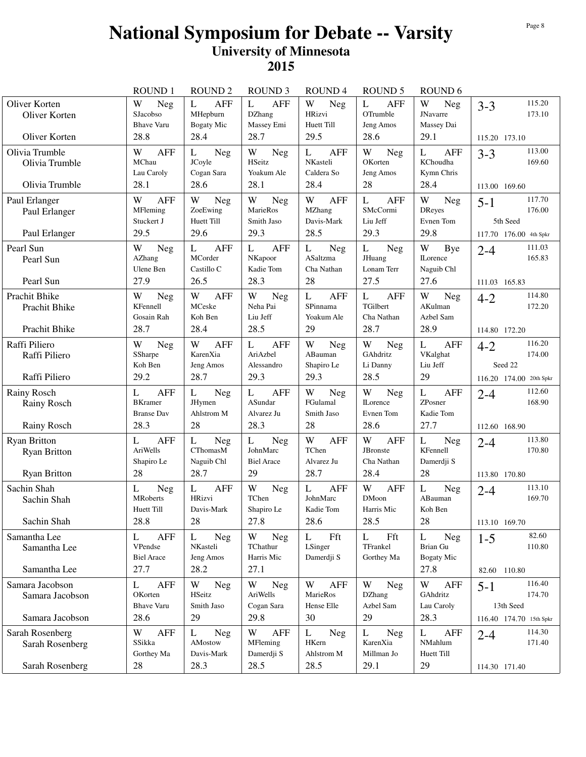|                                                                   | <b>ROUND1</b>                                                  | <b>ROUND 2</b>                                               | <b>ROUND 3</b>                                         | <b>ROUND4</b>                                               | <b>ROUND 5</b>                                          | ROUND <sub>6</sub>                                                          |                                                                     |
|-------------------------------------------------------------------|----------------------------------------------------------------|--------------------------------------------------------------|--------------------------------------------------------|-------------------------------------------------------------|---------------------------------------------------------|-----------------------------------------------------------------------------|---------------------------------------------------------------------|
| Oliver Korten<br>Oliver Korten<br>Oliver Korten                   | W<br>Neg<br>SJacobso<br><b>Bhave Varu</b><br>28.8              | <b>AFF</b><br>L<br>MHepburn<br>Bogaty Mic<br>28.4            | <b>AFF</b><br>L<br><b>DZhang</b><br>Massey Emi<br>28.7 | W<br>Neg<br>HRizvi<br>Huett Till<br>29.5                    | <b>AFF</b><br>L<br>OTrumble<br>Jeng Amos<br>28.6        | W<br>Neg<br><b>JNavarre</b><br>Massey Dai<br>29.1                           | 115.20<br>$3 - 3$<br>173.10<br>115.20 173.10                        |
| Olivia Trumble<br>Olivia Trumble<br>Olivia Trumble                | <b>AFF</b><br>W<br>MChau<br>Lau Caroly<br>28.1                 | L<br>Neg<br>JCoyle<br>Cogan Sara<br>28.6                     | W<br>Neg<br>HSeitz<br>Yoakum Ale<br>28.1               | <b>AFF</b><br>L<br>NKasteli<br>Caldera So<br>28.4           | W<br><b>Neg</b><br>OKorten<br>Jeng Amos<br>28           | L<br><b>AFF</b><br>KChoudha<br>Kymn Chris<br>28.4                           | 113.00<br>$3 - 3$<br>169.60<br>113.00 169.60                        |
| Paul Erlanger<br>Paul Erlanger<br>Paul Erlanger                   | <b>AFF</b><br>W<br>MFleming<br>Stuckert J<br>29.5              | W<br>Neg<br>ZoeEwing<br>Huett Till<br>29.6                   | W<br>Neg<br>MarieRos<br>Smith Jaso<br>29.3             | W<br><b>AFF</b><br>MZhang<br>Davis-Mark<br>28.5             | L<br>AFF<br>SMcCormi<br>Liu Jeff<br>29.3                | $\ensuremath{\text{W}}$<br><b>Neg</b><br><b>DReyes</b><br>Evnen Tom<br>29.8 | 117.70<br>$5 - 1$<br>176.00<br>5th Seed<br>117.70 176.00 4th Spkr   |
| Pearl Sun<br>Pearl Sun<br>Pearl Sun                               | W<br>Neg<br>AZhang<br>Ulene Ben<br>27.9                        | <b>AFF</b><br>L<br>MCorder<br>Castillo C<br>26.5             | <b>AFF</b><br>L<br>NKapoor<br>Kadie Tom<br>28.3        | L<br><b>Neg</b><br>ASaltzma<br>Cha Nathan<br>28             | L<br>Neg<br>JHuang<br>Lonam Terr<br>27.5                | W<br>Bye<br><b>ILorence</b><br>Naguib Chl<br>27.6                           | 111.03<br>$2 - 4$<br>165.83<br>111.03 165.83                        |
| Prachit Bhike<br>Prachit Bhike<br>Prachit Bhike                   | W<br>Neg<br>KFennell<br>Gosain Rah<br>28.7                     | W<br><b>AFF</b><br>MCeske<br>Koh Ben<br>28.4                 | W<br>Neg<br>Neha Pai<br>Liu Jeff<br>28.5               | $\mathbf L$<br><b>AFF</b><br>SPinnama<br>Yoakum Ale<br>29   | L<br><b>AFF</b><br>TGilbert<br>Cha Nathan<br>28.7       | W<br>Neg<br>AKulman<br>Azbel Sam<br>28.9                                    | 114.80<br>$4 - 2$<br>172.20<br>114.80 172.20                        |
| Raffi Piliero<br>Raffi Piliero<br>Raffi Piliero                   | W<br>Neg<br>SSharpe<br>Koh Ben<br>29.2                         | W<br><b>AFF</b><br>KarenXia<br>Jeng Amos<br>28.7             | L<br><b>AFF</b><br>AriAzbel<br>Alessandro<br>29.3      | W<br>Neg<br>ABauman<br>Shapiro Le<br>29.3                   | W<br>Neg<br>GAhdritz<br>Li Danny<br>28.5                | $\mathbf{L}$<br><b>AFF</b><br>VKalghat<br>Liu Jeff<br>29                    | 116.20<br>$4 - 2$<br>174.00<br>Seed 22<br>116.20 174.00 20th Spkr   |
| Rainy Rosch<br>Rainy Rosch<br>Rainy Rosch                         | <b>AFF</b><br>L<br><b>BKramer</b><br><b>Branse Dav</b><br>28.3 | L<br><b>Neg</b><br><b>JHymen</b><br>Ahlstrom M<br>28         | <b>AFF</b><br>L<br>ASundar<br>Alvarez Ju<br>28.3       | W<br><b>Neg</b><br>FGulamal<br>Smith Jaso<br>28             | W<br><b>Neg</b><br><b>ILorence</b><br>Evnen Tom<br>28.6 | L<br><b>AFF</b><br>ZPosner<br>Kadie Tom<br>27.7                             | 112.60<br>$2 - 4$<br>168.90<br>112.60 168.90                        |
| <b>Ryan Britton</b><br><b>Ryan Britton</b><br><b>Ryan Britton</b> | <b>AFF</b><br>L<br>AriWells<br>Shapiro Le<br>28                | $\mathbf L$<br>Neg<br>CThomasM<br>Naguib Chl<br>28.7         | L<br><b>Neg</b><br>JohnMarc<br><b>Biel Arace</b><br>29 | W<br><b>AFF</b><br>TChen<br>Alvarez Ju<br>28.7              | W<br><b>AFF</b><br>JBronste<br>Cha Nathan<br>28.4       | $\mathbf L$<br>Neg<br>KFennell<br>Damerdji S<br>28                          | 113.80<br>$2 - 4$<br>170.80<br>113.80 170.80                        |
| Sachin Shah<br>Sachin Shah<br>Sachin Shah                         | L<br><b>Neg</b><br><b>MRoberts</b><br>Huett Till<br>28.8       | $\mathbf{L}$<br><b>AFF</b><br>HRizvi<br>Davis-Mark<br>28     | W<br>Neg<br>TChen<br>Shapiro Le<br>27.8                | $\mathbf{L}$<br><b>AFF</b><br>JohnMarc<br>Kadie Tom<br>28.6 | W<br><b>AFF</b><br><b>DMoon</b><br>Harris Mic<br>28.5   | L<br>Neg<br>ABauman<br>Koh Ben<br>28                                        | 113.10<br>$2 - 4$<br>169.70<br>113.10 169.70                        |
| Samantha Lee<br>Samantha Lee<br>Samantha Lee                      | <b>AFF</b><br>L<br>VPendse<br><b>Biel Arace</b><br>27.7        | L<br><b>Neg</b><br>NKasteli<br>Jeng Amos<br>28.2             | W<br>Neg<br>TChathur<br>Harris Mic<br>27.1             | Fft<br>L<br>LSinger<br>Damerdji S                           | L<br>Fft<br>TFrankel<br>Gorthey Ma                      | L<br>Neg<br>Brian Gu<br><b>Bogaty Mic</b><br>27.8                           | 82.60<br>$1 - 5$<br>110.80<br>82.60 110.80                          |
| Samara Jacobson<br>Samara Jacobson<br>Samara Jacobson             | L<br><b>AFF</b><br>OKorten<br><b>Bhave Varu</b><br>28.6        | $\ensuremath{\text{W}}$<br>Neg<br>HSeitz<br>Smith Jaso<br>29 | W<br>Neg<br>AriWells<br>Cogan Sara<br>29.8             | W<br><b>AFF</b><br>MarieRos<br>Hense Elle<br>30             | W<br>Neg<br><b>DZhang</b><br>Azbel Sam<br>29            | W<br><b>AFF</b><br>GAhdritz<br>Lau Caroly<br>28.3                           | 116.40<br>$5 - 1$<br>174.70<br>13th Seed<br>116.40 174.70 15th Spkr |
| Sarah Rosenberg<br>Sarah Rosenberg<br>Sarah Rosenberg             | W<br><b>AFF</b><br>SSikka<br>Gorthey Ma<br>28                  | L<br><b>Neg</b><br>AMostow<br>Davis-Mark<br>28.3             | W<br><b>AFF</b><br>MFleming<br>Damerdji S<br>28.5      | L<br><b>Neg</b><br>HKern<br>Ahlstrom M<br>28.5              | Neg<br>L<br>KarenXia<br>Millman Jo<br>29.1              | L<br><b>AFF</b><br>NMahlum<br>Huett Till<br>29                              | 114.30<br>$2 - 4$<br>171.40<br>114.30 171.40                        |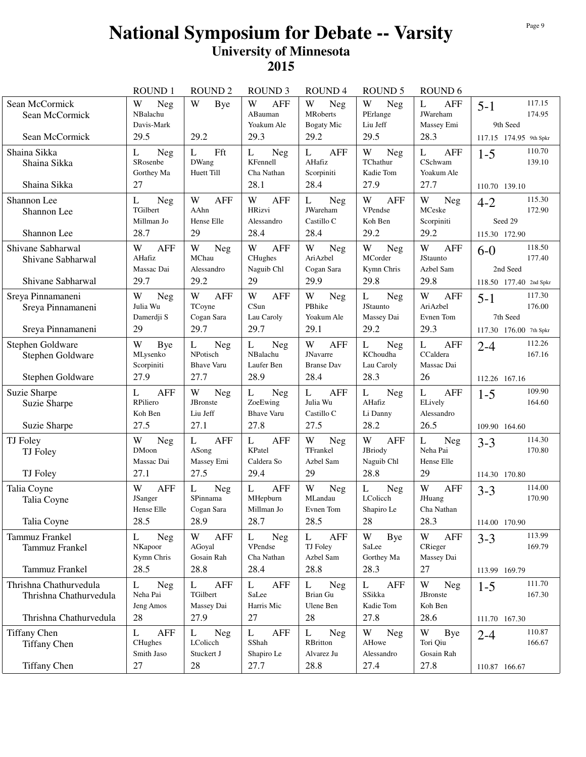|                                              | <b>ROUND1</b>                                   | <b>ROUND 2</b>                  | <b>ROUND 3</b>                             | <b>ROUND4</b>                                   | <b>ROUND 5</b>                            | ROUND <sub>6</sub>                               |                                              |
|----------------------------------------------|-------------------------------------------------|---------------------------------|--------------------------------------------|-------------------------------------------------|-------------------------------------------|--------------------------------------------------|----------------------------------------------|
| Sean McCormick<br>Sean McCormick             | W<br>Neg<br>NBalachu<br>Davis-Mark              | W<br>Bye                        | W<br><b>AFF</b><br>ABauman<br>Yoakum Ale   | W<br>Neg<br>MRoberts<br><b>Bogaty Mic</b>       | W<br>Neg<br>PErlange<br>Liu Jeff          | L<br><b>AFF</b><br><b>JWareham</b><br>Massey Emi | 117.15<br>$5 - 1$<br>174.95<br>9th Seed      |
| Sean McCormick                               | 29.5                                            | 29.2                            | 29.3                                       | 29.2                                            | 29.5                                      | 28.3                                             | 117.15 174.95 9th Spkr                       |
| Shaina Sikka<br>Shaina Sikka<br>Shaina Sikka | <b>Neg</b><br>L<br>SRosenbe<br>Gorthey Ma<br>27 | Fft<br>L<br>DWang<br>Huett Till | Neg<br>L<br>KFennell<br>Cha Nathan<br>28.1 | L<br><b>AFF</b><br>AHafiz<br>Scorpiniti<br>28.4 | W<br>Neg<br>TChathur<br>Kadie Tom<br>27.9 | L<br><b>AFF</b><br>CSchwam<br>Yoakum Ale<br>27.7 | 110.70<br>$1 - 5$<br>139.10<br>110.70 139.10 |
| Shannon Lee                                  | L<br>Neg                                        | W<br><b>AFF</b>                 | W<br><b>AFF</b>                            | $\mathbf{L}$<br>Neg                             | W<br><b>AFF</b>                           | $\ensuremath{\text{W}}$<br><b>Neg</b>            | 115.30                                       |
| Shannon Lee                                  | TGilbert                                        | AAhn                            | <b>HRizvi</b>                              | JWareham                                        | VPendse                                   | MCeske                                           | $4 - 2$<br>172.90                            |
|                                              | Millman Jo                                      | Hense Elle                      | Alessandro                                 | Castillo C                                      | Koh Ben                                   | Scorpiniti                                       | Seed 29                                      |
| Shannon Lee                                  | 28.7                                            | 29                              | 28.4                                       | 28.4                                            | 29.2                                      | 29.2                                             | 115.30 172.90                                |
| Shivane Sabharwal<br>Shivane Sabharwal       | <b>AFF</b><br>W<br>AHafiz                       | W<br>Neg<br>MChau               | W<br><b>AFF</b><br>CHughes                 | W<br><b>Neg</b><br>AriAzbel                     | W<br>Neg<br>MCorder                       | W<br><b>AFF</b><br>JStaunto                      | 118.50<br>$6-0$<br>177.40                    |
|                                              | Massac Dai                                      | Alessandro                      | Naguib Chl                                 | Cogan Sara                                      | Kymn Chris                                | Azbel Sam                                        | 2nd Seed                                     |
| Shivane Sabharwal                            | 29.7                                            | 29.2                            | 29                                         | 29.9                                            | 29.8                                      | 29.8                                             | 118.50 177.40 2nd Spkr                       |
| Sreya Pinnamaneni                            | W<br><b>Neg</b>                                 | W<br><b>AFF</b>                 | W<br><b>AFF</b>                            | W<br>Neg                                        | L<br>Neg                                  | W<br>AFF                                         | 117.30<br>$5 - 1$                            |
| Sreya Pinnamaneni                            | Julia Wu<br>Damerdji S                          | TCoyne<br>Cogan Sara            | CSun<br>Lau Caroly                         | PBhike<br>Yoakum Ale                            | <b>JStaunto</b><br>Massey Dai             | AriAzbel<br>Evnen Tom                            | 176.00<br>7th Seed                           |
| Sreya Pinnamaneni                            | 29                                              | 29.7                            | 29.7                                       | 29.1                                            | 29.2                                      | 29.3                                             | 117.30 176.00 7th Spkr                       |
| Stephen Goldware                             | W<br>Bye                                        | L<br>Neg                        | L<br>Neg                                   | W<br>AFF                                        | $\mathbf{L}$<br>Neg                       | $\mathbf{L}$<br><b>AFF</b>                       | 112.26<br>$2 - 4$                            |
| Stephen Goldware                             | MLysenko                                        | NPotisch                        | NBalachu                                   | JNavarre                                        | KChoudha                                  | CCaldera                                         | 167.16                                       |
|                                              | Scorpiniti                                      | <b>Bhave Varu</b>               | Laufer Ben                                 | <b>Branse Dav</b>                               | Lau Caroly                                | Massac Dai                                       |                                              |
| Stephen Goldware                             | 27.9                                            | 27.7                            | 28.9                                       | 28.4                                            | 28.3                                      | 26                                               | 112.26 167.16                                |
| Suzie Sharpe<br>Suzie Sharpe                 | <b>AFF</b><br>L<br>RPiliero                     | W<br><b>Neg</b><br>JBronste     | L<br>Neg<br>ZoeEwing                       | L<br>AFF<br>Julia Wu                            | L<br><b>Neg</b><br>AHafiz                 | $\mathbf{L}$<br><b>AFF</b><br>ELively            | 109.90<br>$1 - 5$<br>164.60                  |
|                                              | Koh Ben                                         | Liu Jeff                        | <b>Bhave Varu</b>                          | Castillo C                                      | Li Danny                                  | Alessandro                                       |                                              |
| Suzie Sharpe                                 | 27.5                                            | 27.1                            | 27.8                                       | 27.5                                            | 28.2                                      | 26.5                                             | 109.90 164.60                                |
| <b>TJ</b> Foley                              | W<br>Neg                                        | L<br><b>AFF</b>                 | <b>AFF</b><br>L                            | W<br>Neg                                        | W<br><b>AFF</b>                           | L<br><b>Neg</b>                                  | 114.30<br>$3 - 3$                            |
| TJ Foley                                     | <b>DMoon</b><br>Massac Dai                      | ASong                           | KPatel<br>Caldera So                       | TFrankel<br>Azbel Sam                           | JBriody<br>Naguib Chl                     | Neha Pai<br>Hense Elle                           | 170.80                                       |
| TJ Foley                                     | 27.1                                            | Massey Emi<br>27.5              | 29.4                                       | 29                                              | 28.8                                      | 29                                               | 114.30 170.80                                |
| Talia Coyne                                  | W<br><b>AFF</b>                                 | L<br>Neg                        | $\mathbf{L}$<br><b>AFF</b>                 | W<br><b>Neg</b>                                 | $\mathbf L$<br>Neg                        | W<br><b>AFF</b>                                  | 114.00                                       |
| Talia Coyne                                  | JSanger                                         | SPinnama                        | MHepburn                                   | MLandau                                         | LColicch                                  | JHuang                                           | $3 - 3$<br>170.90                            |
|                                              | Hense Elle                                      | Cogan Sara                      | Millman Jo                                 | Evnen Tom                                       | Shapiro Le                                | Cha Nathan                                       |                                              |
| Talia Coyne                                  | 28.5                                            | 28.9                            | 28.7                                       | 28.5                                            | 28                                        | 28.3                                             | 114.00 170.90                                |
| Tammuz Frankel                               | L<br><b>Neg</b><br>NKapoor                      | W<br><b>AFF</b><br>AGoyal       | L<br>Neg<br>VPendse                        | L<br><b>AFF</b><br>TJ Foley                     | W<br>Bye<br>SaLee                         | W<br><b>AFF</b><br>CRieger                       | 113.99<br>$3 - 3$<br>169.79                  |
| Tammuz Frankel                               | Kymn Chris                                      | Gosain Rah                      | Cha Nathan                                 | Azbel Sam                                       | Gorthey Ma                                | Massey Dai                                       |                                              |
| Tammuz Frankel                               | 28.5                                            | 28.8                            | 28.4                                       | 28.8                                            | 28.3                                      | 27                                               | 113.99 169.79                                |
| Thrishna Chathurvedula                       | L<br><b>Neg</b>                                 | L<br><b>AFF</b>                 | L<br><b>AFF</b>                            | L<br><b>Neg</b>                                 | $\mathbf{L}$<br><b>AFF</b>                | $\ensuremath{\text{W}}$<br>Neg                   | 111.70<br>$1 - 5$                            |
| Thrishna Chathurvedula                       | Neha Pai                                        | TGilbert                        | SaLee                                      | Brian Gu                                        | SSikka                                    | <b>JBronste</b>                                  | 167.30                                       |
| Thrishna Chathurvedula                       | Jeng Amos<br>28                                 | Massey Dai<br>27.9              | Harris Mic<br>27                           | Ulene Ben<br>28                                 | Kadie Tom<br>27.8                         | Koh Ben<br>28.6                                  | 111.70 167.30                                |
| <b>Tiffany Chen</b>                          | L<br><b>AFF</b>                                 | L<br>Neg                        | L<br>AFF                                   | L<br><b>Neg</b>                                 | W<br><b>Neg</b>                           | W<br>Bye                                         | 110.87                                       |
| <b>Tiffany Chen</b>                          | CHughes                                         | LColicch                        | SShah                                      | RBritton                                        | AHowe                                     | Tori Qiu                                         | $2 - 4$<br>166.67                            |
|                                              | Smith Jaso                                      | Stuckert J                      | Shapiro Le                                 | Alvarez Ju                                      | Alessandro                                | Gosain Rah                                       |                                              |
| <b>Tiffany Chen</b>                          | 27                                              | 28                              | 27.7                                       | 28.8                                            | 27.4                                      | 27.8                                             | 110.87 166.67                                |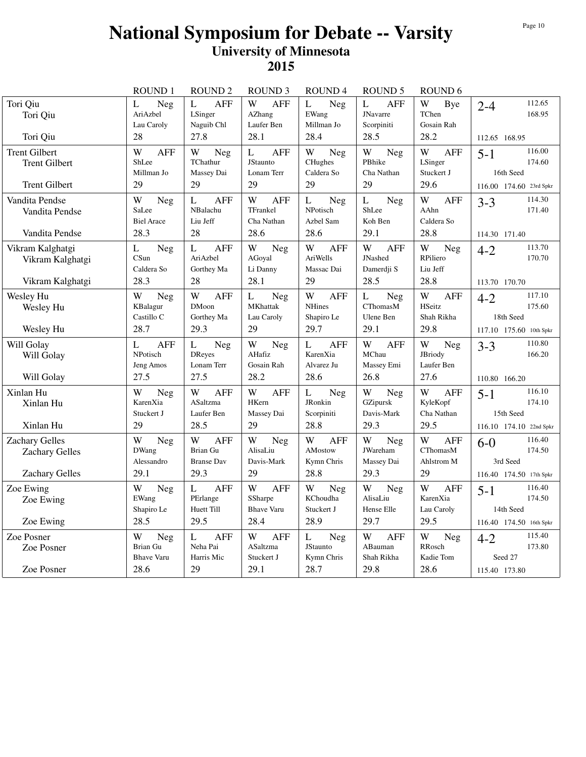|                                                                      | ROUND 1                                          | <b>ROUND 2</b>                                              | <b>ROUND 3</b>                                                   | ROUND <sub>4</sub>                                          | <b>ROUND 5</b>                                          | ROUND <sub>6</sub>                                     |                                                                     |
|----------------------------------------------------------------------|--------------------------------------------------|-------------------------------------------------------------|------------------------------------------------------------------|-------------------------------------------------------------|---------------------------------------------------------|--------------------------------------------------------|---------------------------------------------------------------------|
| Tori Qiu<br>Tori Qiu                                                 | L<br>Neg<br>AriAzbel<br>Lau Caroly               | L<br><b>AFF</b><br>LSinger<br>Naguib Chl                    | W<br><b>AFF</b><br>AZhang<br>Laufer Ben                          | $\mathbf{L}$<br>Neg<br>EWang<br>Millman Jo                  | $\overline{L}$<br>AFF<br><b>JNavarre</b><br>Scorpiniti  | W<br>Bye<br>TChen<br>Gosain Rah                        | 112.65<br>$2 - 4$<br>168.95                                         |
| Tori Qiu                                                             | 28                                               | 27.8                                                        | 28.1                                                             | 28.4                                                        | 28.5                                                    | 28.2                                                   | 112.65 168.95                                                       |
| <b>Trent Gilbert</b><br><b>Trent Gilbert</b><br><b>Trent Gilbert</b> | W<br><b>AFF</b><br>ShLee<br>Millman Jo<br>29     | W<br>Neg<br>TChathur<br>Massey Dai<br>29                    | $\mathbf L$<br><b>AFF</b><br><b>JStaunto</b><br>Lonam Terr<br>29 | W<br>Neg<br>CHughes<br>Caldera So<br>29                     | W<br>Neg<br>PBhike<br>Cha Nathan<br>29                  | W<br><b>AFF</b><br>LSinger<br>Stuckert J<br>29.6       | 116.00<br>$5 - 1$<br>174.60<br>16th Seed<br>116.00 174.60 23rd Spkr |
| Vandita Pendse<br>Vandita Pendse<br>Vandita Pendse                   | W<br>Neg<br>SaLee<br><b>Biel Arace</b><br>28.3   | L<br><b>AFF</b><br>NBalachu<br>Liu Jeff<br>28               | W<br><b>AFF</b><br>TFrankel<br>Cha Nathan<br>28.6                | $\mathbf L$<br>Neg<br>NPotisch<br>Azbel Sam<br>28.6         | $\mathbf L$<br>Neg<br>ShLee<br>Koh Ben<br>29.1          | W<br><b>AFF</b><br>AAhn<br>Caldera So<br>28.8          | 114.30<br>$3 - 3$<br>171.40<br>114.30 171.40                        |
| Vikram Kalghatgi<br>Vikram Kalghatgi<br>Vikram Kalghatgi             | L<br>Neg<br>CSun<br>Caldera So<br>28.3           | $\mathbf{L}$<br><b>AFF</b><br>AriAzbel<br>Gorthey Ma<br>28  | W<br>Neg<br>AGoyal<br>Li Danny<br>28.1                           | W<br><b>AFF</b><br>AriWells<br>Massac Dai<br>29             | W<br><b>AFF</b><br><b>JNashed</b><br>Damerdji S<br>28.5 | W<br><b>Neg</b><br>RPiliero<br>Liu Jeff<br>28.8        | 113.70<br>$4 - 2$<br>170.70<br>113.70 170.70                        |
| Wesley Hu<br>Wesley Hu<br>Wesley Hu                                  | W<br>Neg<br>KBalagur<br>Castillo C<br>28.7       | W<br><b>AFF</b><br><b>DMoon</b><br>Gorthey Ma<br>29.3       | L<br>Neg<br><b>MKhattak</b><br>Lau Caroly<br>29                  | W<br><b>AFF</b><br><b>NHines</b><br>Shapiro Le<br>29.7      | L<br>Neg<br><b>CThomasM</b><br>Ulene Ben<br>29.1        | W<br><b>AFF</b><br>HSeitz<br>Shah Rikha<br>29.8        | 117.10<br>$4 - 2$<br>175.60<br>18th Seed<br>117.10 175.60 10th Spkr |
| Will Golay<br>Will Golay<br>Will Golay                               | <b>AFF</b><br>L<br>NPotisch<br>Jeng Amos<br>27.5 | L<br>Neg<br><b>DReyes</b><br>Lonam Terr<br>27.5             | $\mathbf W$<br>Neg<br>AHafiz<br>Gosain Rah<br>28.2               | $\mathbf L$<br><b>AFF</b><br>KarenXia<br>Alvarez Ju<br>28.6 | W<br><b>AFF</b><br>MChau<br>Massey Emi<br>26.8          | W<br>Neg<br>JBriody<br>Laufer Ben<br>27.6              | 110.80<br>$3 - 3$<br>166.20<br>110.80 166.20                        |
| Xinlan Hu<br>Xinlan Hu<br>Xinlan Hu                                  | W<br><b>Neg</b><br>KarenXia<br>Stuckert J<br>29  | W<br><b>AFF</b><br>ASaltzma<br>Laufer Ben<br>28.5           | W<br><b>AFF</b><br>HKern<br>Massey Dai<br>29                     | $\mathbf L$<br>Neg<br>JRonkin<br>Scorpiniti<br>28.8         | W<br><b>Neg</b><br>GZipursk<br>Davis-Mark<br>29.3       | W<br><b>AFF</b><br>KyleKopf<br>Cha Nathan<br>29.5      | 116.10<br>$5 - 1$<br>174.10<br>15th Seed<br>116.10 174.10 22nd Spkr |
| Zachary Gelles<br>Zachary Gelles<br><b>Zachary Gelles</b>            | W<br>Neg<br>DWang<br>Alessandro<br>29.1          | W<br><b>AFF</b><br>Brian Gu<br><b>Branse Dav</b><br>29.3    | W<br>Neg<br>AlisaLiu<br>Davis-Mark<br>29                         | W<br><b>AFF</b><br>AMostow<br>Kymn Chris<br>28.8            | W<br>Neg<br><b>JWareham</b><br>Massey Dai<br>29.3       | W<br><b>AFF</b><br><b>CThomasM</b><br>Ahlstrom M<br>29 | 116.40<br>$6-0$<br>174.50<br>3rd Seed<br>116.40 174.50 17th Spkr    |
| Zoe Ewing<br>Zoe Ewing<br>Zoe Ewing                                  | W<br>Neg<br>EWang<br>Shapiro Le<br>28.5          | $\mathbf L$<br><b>AFF</b><br>PErlange<br>Huett Till<br>29.5 | W<br><b>AFF</b><br>SSharpe<br><b>Bhave Varu</b><br>28.4          | W<br>Neg<br>KChoudha<br>Stuckert J<br>28.9                  | W<br>Neg<br>AlisaLiu<br>Hense Elle<br>29.7              | W<br>AFF<br>KarenXia<br>Lau Caroly<br>29.5             | 116.40<br>$5-1$<br>174.50<br>14th Seed                              |
| Zoe Posner<br>Zoe Posner                                             | W<br>Neg<br>Brian Gu<br><b>Bhave Varu</b>        | $\mathbf L$<br><b>AFF</b><br>Neha Pai<br>Harris Mic         | W<br><b>AFF</b><br>ASaltzma<br>Stuckert J                        | $\mathbf{L}$<br>Neg<br>JStaunto<br>Kymn Chris               | W<br><b>AFF</b><br>ABauman<br>Shah Rikha                | W<br>Neg<br>RRosch<br>Kadie Tom                        | 116.40 174.50 16th Spkr<br>115.40<br>$4 - 2$<br>173.80<br>Seed 27   |
| Zoe Posner                                                           | 28.6                                             | 29                                                          | 29.1                                                             | 28.7                                                        | 29.8                                                    | 28.6                                                   | 115.40 173.80                                                       |